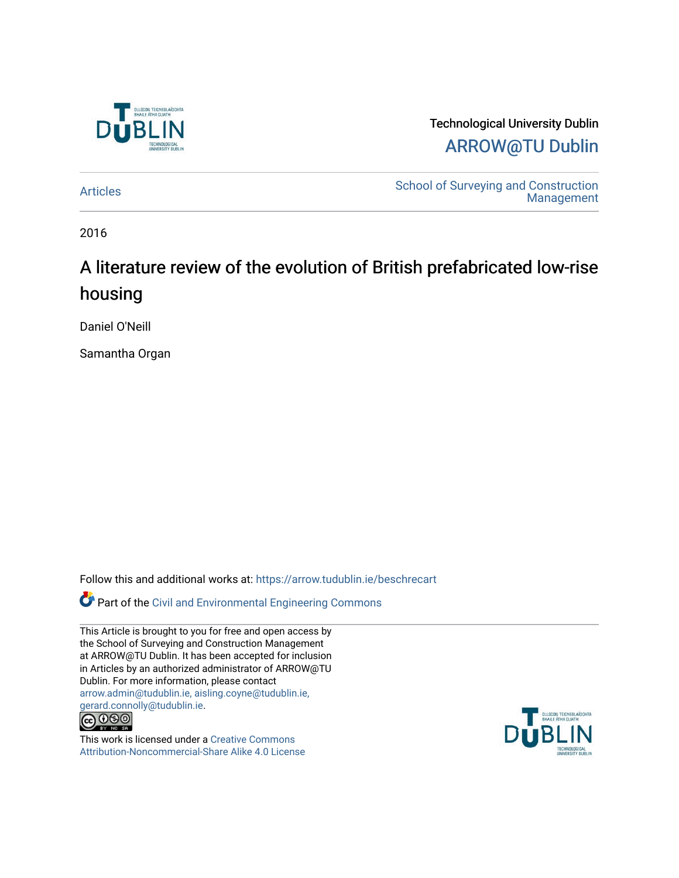

Technological University Dublin [ARROW@TU Dublin](https://arrow.tudublin.ie/) 

[Articles](https://arrow.tudublin.ie/beschrecart) **School of Surveying and Construction** [Management](https://arrow.tudublin.ie/beschrec) 

2016

# A literature review of the evolution of British prefabricated low-rise housing

Daniel O'Neill

Samantha Organ

Follow this and additional works at: [https://arrow.tudublin.ie/beschrecart](https://arrow.tudublin.ie/beschrecart?utm_source=arrow.tudublin.ie%2Fbeschrecart%2F73&utm_medium=PDF&utm_campaign=PDFCoverPages) 

Part of the [Civil and Environmental Engineering Commons](http://network.bepress.com/hgg/discipline/251?utm_source=arrow.tudublin.ie%2Fbeschrecart%2F73&utm_medium=PDF&utm_campaign=PDFCoverPages)

This Article is brought to you for free and open access by the School of Surveying and Construction Management at ARROW@TU Dublin. It has been accepted for inclusion in Articles by an authorized administrator of ARROW@TU Dublin. For more information, please contact [arrow.admin@tudublin.ie, aisling.coyne@tudublin.ie,](mailto:arrow.admin@tudublin.ie,%20aisling.coyne@tudublin.ie,%20gerard.connolly@tudublin.ie)  [gerard.connolly@tudublin.ie](mailto:arrow.admin@tudublin.ie,%20aisling.coyne@tudublin.ie,%20gerard.connolly@tudublin.ie).



This work is licensed under a [Creative Commons](http://creativecommons.org/licenses/by-nc-sa/4.0/) [Attribution-Noncommercial-Share Alike 4.0 License](http://creativecommons.org/licenses/by-nc-sa/4.0/)

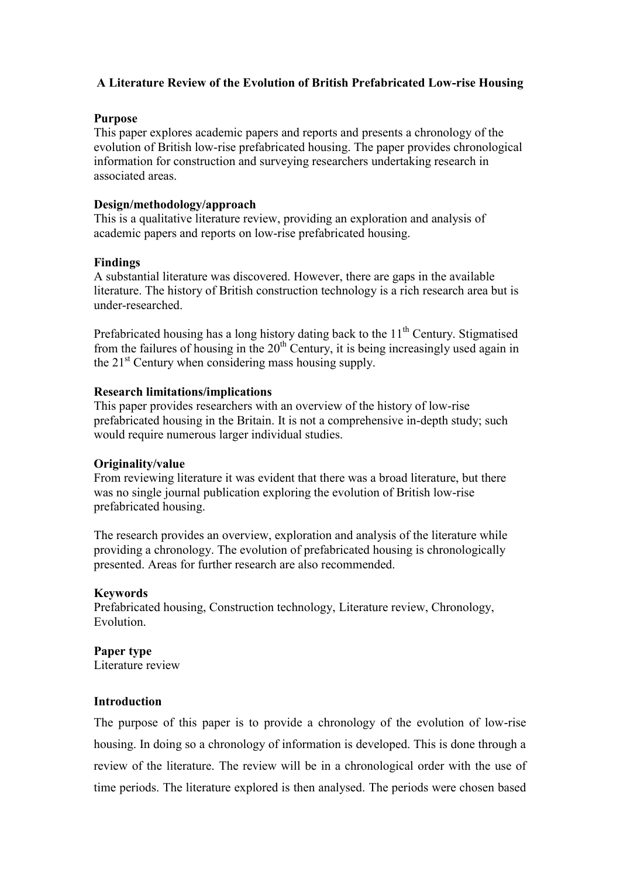# **A Literature Review of the Evolution of British Prefabricated Low-rise Housing**

# **Purpose**

This paper explores academic papers and reports and presents a chronology of the evolution of British low-rise prefabricated housing. The paper provides chronological information for construction and surveying researchers undertaking research in associated areas.

# **Design/methodology/approach**

This is a qualitative literature review, providing an exploration and analysis of academic papers and reports on low-rise prefabricated housing.

# **Findings**

A substantial literature was discovered. However, there are gaps in the available literature. The history of British construction technology is a rich research area but is under-researched.

Prefabricated housing has a long history dating back to the  $11<sup>th</sup>$  Century. Stigmatised from the failures of housing in the  $20<sup>th</sup>$  Century, it is being increasingly used again in the  $21<sup>st</sup>$  Century when considering mass housing supply.

# **Research limitations/implications**

This paper provides researchers with an overview of the history of low-rise prefabricated housing in the Britain. It is not a comprehensive in-depth study; such would require numerous larger individual studies.

# **Originality/value**

From reviewing literature it was evident that there was a broad literature, but there was no single journal publication exploring the evolution of British low-rise prefabricated housing.

The research provides an overview, exploration and analysis of the literature while providing a chronology. The evolution of prefabricated housing is chronologically presented. Areas for further research are also recommended.

## **Keywords**

Prefabricated housing, Construction technology, Literature review, Chronology, Evolution.

## **Paper type**

Literature review

# **Introduction**

The purpose of this paper is to provide a chronology of the evolution of low-rise housing. In doing so a chronology of information is developed. This is done through a review of the literature. The review will be in a chronological order with the use of time periods. The literature explored is then analysed. The periods were chosen based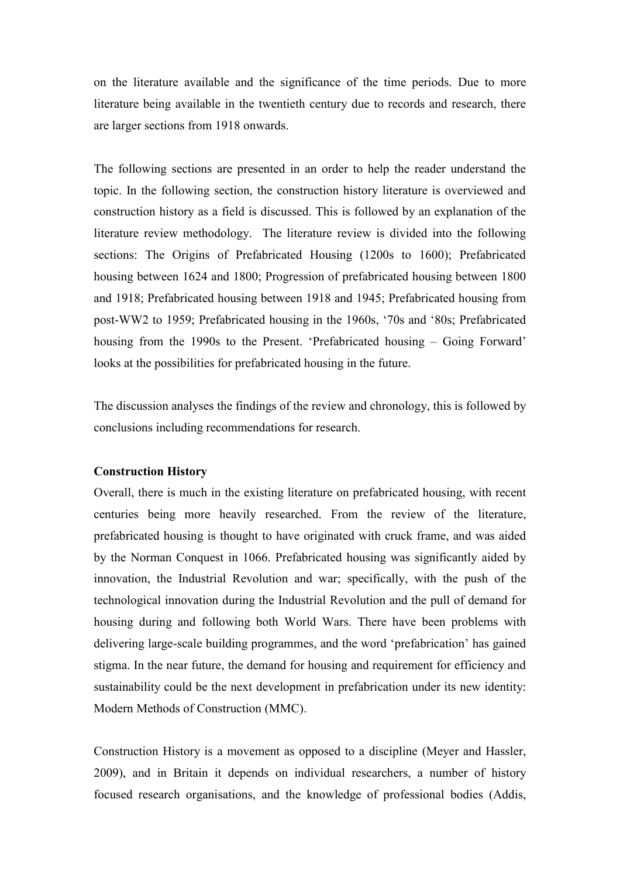on the literature available and the significance of the time periods. Due to more literature being available in the twentieth century due to records and research, there are larger sections from 1918 onwards.

The following sections are presented in an order to help the reader understand the topic. In the following section, the construction history literature is overviewed and construction history as a field is discussed. This is followed by an explanation of the literature review methodology. The literature review is divided into the following sections: The Origins of Prefabricated Housing (1200s to 1600); Prefabricated housing between 1624 and 1800; Progression of prefabricated housing between 1800 and 1918; Prefabricated housing between 1918 and 1945; Prefabricated housing from post-WW2 to 1959; Prefabricated housing in the 1960s, '70s and '80s; Prefabricated housing from the 1990s to the Present. 'Prefabricated housing – Going Forward' looks at the possibilities for prefabricated housing in the future.

The discussion analyses the findings of the review and chronology, this is followed by conclusions including recommendations for research.

#### **Construction History**

Overall, there is much in the existing literature on prefabricated housing, with recent centuries being more heavily researched. From the review of the literature, prefabricated housing is thought to have originated with cruck frame, and was aided by the Norman Conquest in 1066. Prefabricated housing was significantly aided by innovation, the Industrial Revolution and war; specifically, with the push of the technological innovation during the Industrial Revolution and the pull of demand for housing during and following both World Wars. There have been problems with delivering large-scale building programmes, and the word 'prefabrication' has gained stigma. In the near future, the demand for housing and requirement for efficiency and sustainability could be the next development in prefabrication under its new identity: Modern Methods of Construction (MMC).

Construction History is a movement as opposed to a discipline (Meyer and Hassler, 2009), and in Britain it depends on individual researchers, a number of history focused research organisations, and the knowledge of professional bodies (Addis,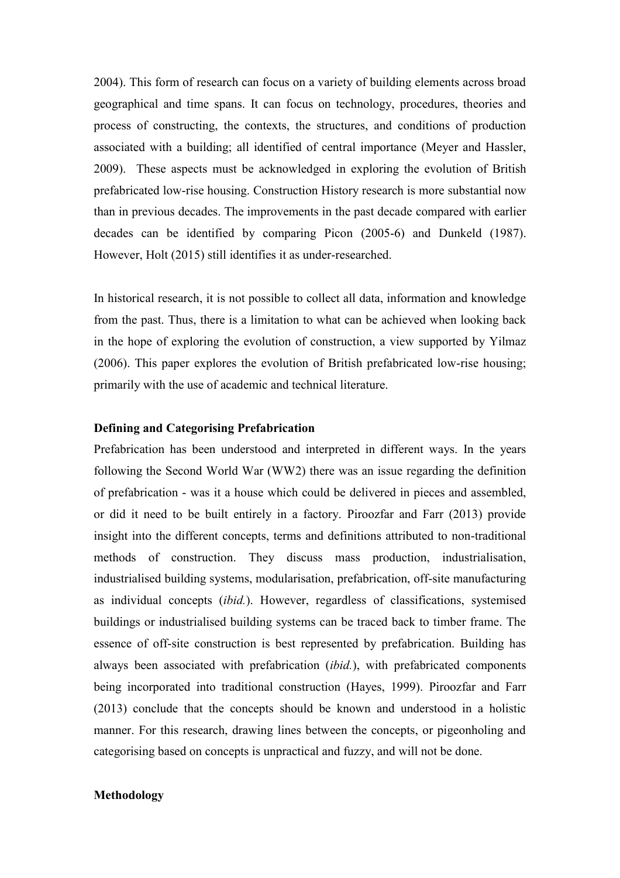2004). This form of research can focus on a variety of building elements across broad geographical and time spans. It can focus on technology, procedures, theories and process of constructing, the contexts, the structures, and conditions of production associated with a building; all identified of central importance (Meyer and Hassler, 2009). These aspects must be acknowledged in exploring the evolution of British prefabricated low-rise housing. Construction History research is more substantial now than in previous decades. The improvements in the past decade compared with earlier decades can be identified by comparing Picon (2005-6) and Dunkeld (1987). However, Holt (2015) still identifies it as under-researched.

In historical research, it is not possible to collect all data, information and knowledge from the past. Thus, there is a limitation to what can be achieved when looking back in the hope of exploring the evolution of construction, a view supported by Yilmaz (2006). This paper explores the evolution of British prefabricated low-rise housing; primarily with the use of academic and technical literature.

# **Defining and Categorising Prefabrication**

Prefabrication has been understood and interpreted in different ways. In the years following the Second World War (WW2) there was an issue regarding the definition of prefabrication - was it a house which could be delivered in pieces and assembled, or did it need to be built entirely in a factory. Piroozfar and Farr (2013) provide insight into the different concepts, terms and definitions attributed to non-traditional methods of construction. They discuss mass production, industrialisation, industrialised building systems, modularisation, prefabrication, off-site manufacturing as individual concepts (*ibid.*). However, regardless of classifications, systemised buildings or industrialised building systems can be traced back to timber frame. The essence of off-site construction is best represented by prefabrication. Building has always been associated with prefabrication (*ibid.*), with prefabricated components being incorporated into traditional construction (Hayes, 1999). Piroozfar and Farr (2013) conclude that the concepts should be known and understood in a holistic manner. For this research, drawing lines between the concepts, or pigeonholing and categorising based on concepts is unpractical and fuzzy, and will not be done.

#### **Methodology**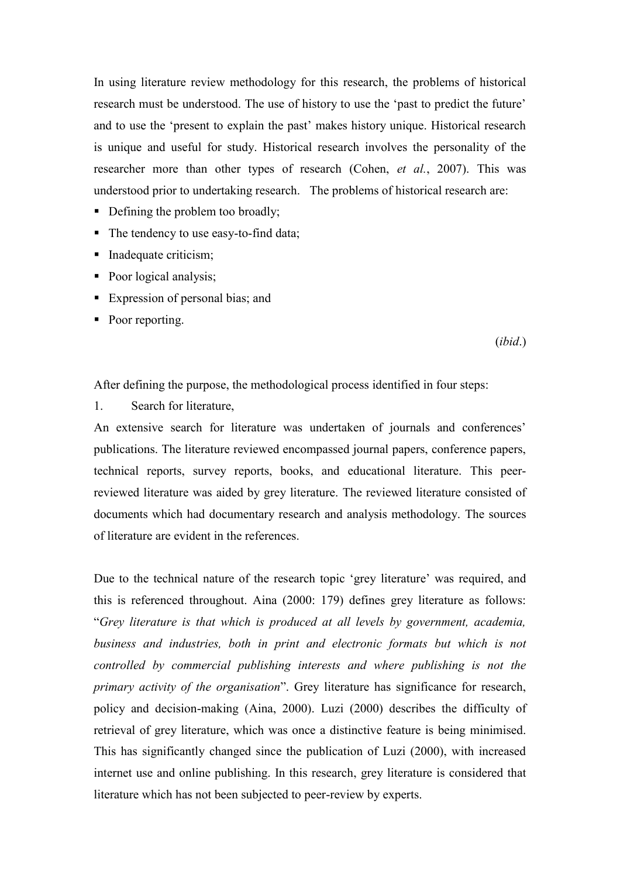In using literature review methodology for this research, the problems of historical research must be understood. The use of history to use the 'past to predict the future' and to use the 'present to explain the past' makes history unique. Historical research is unique and useful for study. Historical research involves the personality of the researcher more than other types of research (Cohen, *et al.*, 2007). This was understood prior to undertaking research. The problems of historical research are:

- Defining the problem too broadly;
- The tendency to use easy-to-find data;
- Inadequate criticism;
- Poor logical analysis;
- Expression of personal bias; and
- Poor reporting.

(*ibid*.)

After defining the purpose, the methodological process identified in four steps:

1. Search for literature,

An extensive search for literature was undertaken of journals and conferences' publications. The literature reviewed encompassed journal papers, conference papers, technical reports, survey reports, books, and educational literature. This peerreviewed literature was aided by grey literature. The reviewed literature consisted of documents which had documentary research and analysis methodology. The sources of literature are evident in the references.

Due to the technical nature of the research topic 'grey literature' was required, and this is referenced throughout. Aina (2000: 179) defines grey literature as follows: "*Grey literature is that which is produced at all levels by government, academia, business and industries, both in print and electronic formats but which is not controlled by commercial publishing interests and where publishing is not the primary activity of the organisation*". Grey literature has significance for research, policy and decision-making (Aina, 2000). Luzi (2000) describes the difficulty of retrieval of grey literature, which was once a distinctive feature is being minimised. This has significantly changed since the publication of Luzi (2000), with increased internet use and online publishing. In this research, grey literature is considered that literature which has not been subjected to peer-review by experts.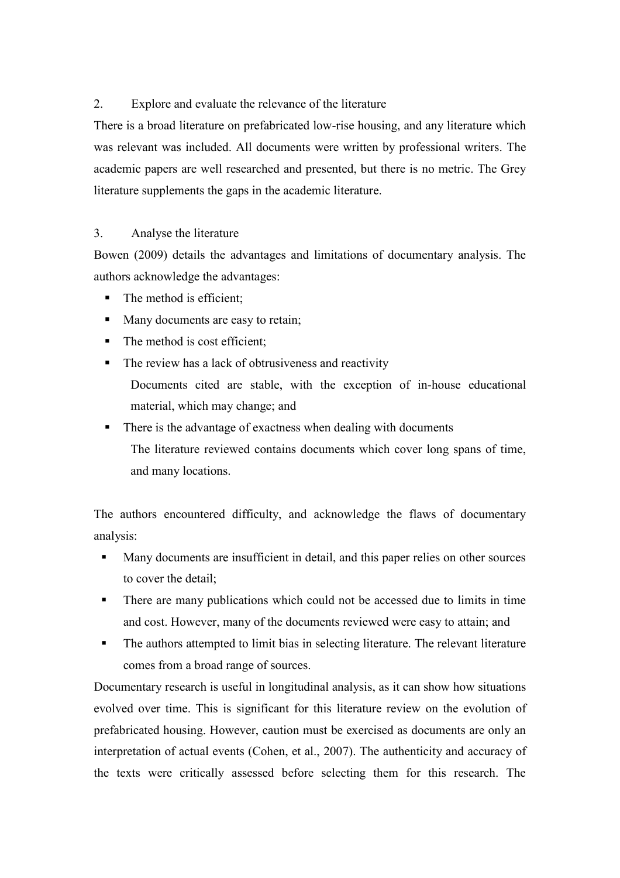# 2. Explore and evaluate the relevance of the literature

There is a broad literature on prefabricated low-rise housing, and any literature which was relevant was included. All documents were written by professional writers. The academic papers are well researched and presented, but there is no metric. The Grey literature supplements the gaps in the academic literature.

# 3. Analyse the literature

Bowen (2009) details the advantages and limitations of documentary analysis. The authors acknowledge the advantages:

- The method is efficient;
- Many documents are easy to retain;
- $\blacksquare$  The method is cost efficient;
- The review has a lack of obtrusiveness and reactivity Documents cited are stable, with the exception of in-house educational material, which may change; and
- There is the advantage of exactness when dealing with documents The literature reviewed contains documents which cover long spans of time, and many locations.

The authors encountered difficulty, and acknowledge the flaws of documentary analysis:

- Many documents are insufficient in detail, and this paper relies on other sources to cover the detail;
- There are many publications which could not be accessed due to limits in time and cost. However, many of the documents reviewed were easy to attain; and
- The authors attempted to limit bias in selecting literature. The relevant literature comes from a broad range of sources.

Documentary research is useful in longitudinal analysis, as it can show how situations evolved over time. This is significant for this literature review on the evolution of prefabricated housing. However, caution must be exercised as documents are only an interpretation of actual events (Cohen, et al., 2007). The authenticity and accuracy of the texts were critically assessed before selecting them for this research. The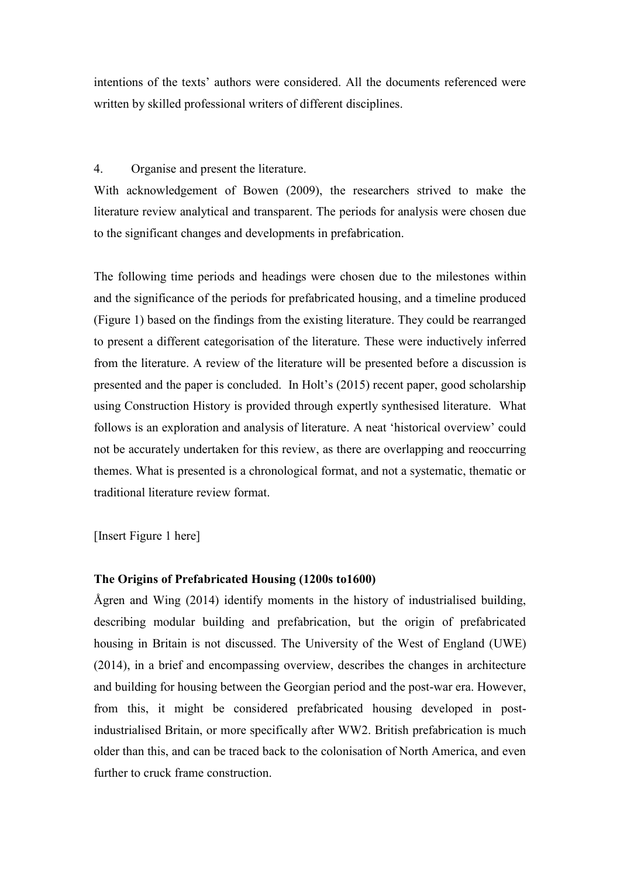intentions of the texts' authors were considered. All the documents referenced were written by skilled professional writers of different disciplines.

# 4. Organise and present the literature.

With acknowledgement of Bowen (2009), the researchers strived to make the literature review analytical and transparent. The periods for analysis were chosen due to the significant changes and developments in prefabrication.

The following time periods and headings were chosen due to the milestones within and the significance of the periods for prefabricated housing, and a timeline produced (Figure 1) based on the findings from the existing literature. They could be rearranged to present a different categorisation of the literature. These were inductively inferred from the literature. A review of the literature will be presented before a discussion is presented and the paper is concluded. In Holt's (2015) recent paper, good scholarship using Construction History is provided through expertly synthesised literature. What follows is an exploration and analysis of literature. A neat 'historical overview' could not be accurately undertaken for this review, as there are overlapping and reoccurring themes. What is presented is a chronological format, and not a systematic, thematic or traditional literature review format.

[Insert Figure 1 here]

# **The Origins of Prefabricated Housing (1200s to1600)**

Ågren and Wing (2014) identify moments in the history of industrialised building, describing modular building and prefabrication, but the origin of prefabricated housing in Britain is not discussed. The University of the West of England (UWE) (2014), in a brief and encompassing overview, describes the changes in architecture and building for housing between the Georgian period and the post-war era. However, from this, it might be considered prefabricated housing developed in postindustrialised Britain, or more specifically after WW2. British prefabrication is much older than this, and can be traced back to the colonisation of North America, and even further to cruck frame construction.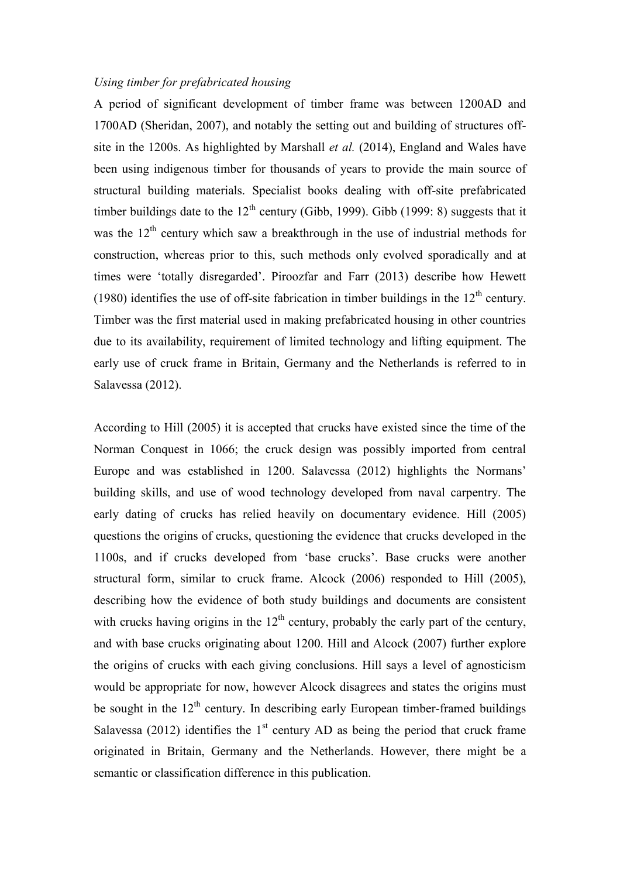#### *Using timber for prefabricated housing*

A period of significant development of timber frame was between 1200AD and 1700AD (Sheridan, 2007), and notably the setting out and building of structures offsite in the 1200s. As highlighted by Marshall *et al.* (2014), England and Wales have been using indigenous timber for thousands of years to provide the main source of structural building materials. Specialist books dealing with off-site prefabricated timber buildings date to the  $12<sup>th</sup>$  century (Gibb, 1999). Gibb (1999: 8) suggests that it was the  $12<sup>th</sup>$  century which saw a breakthrough in the use of industrial methods for construction, whereas prior to this, such methods only evolved sporadically and at times were 'totally disregarded'. Piroozfar and Farr (2013) describe how Hewett (1980) identifies the use of off-site fabrication in timber buildings in the  $12<sup>th</sup>$  century. Timber was the first material used in making prefabricated housing in other countries due to its availability, requirement of limited technology and lifting equipment. The early use of cruck frame in Britain, Germany and the Netherlands is referred to in Salavessa (2012).

According to Hill (2005) it is accepted that crucks have existed since the time of the Norman Conquest in 1066; the cruck design was possibly imported from central Europe and was established in 1200. Salavessa (2012) highlights the Normans' building skills, and use of wood technology developed from naval carpentry. The early dating of crucks has relied heavily on documentary evidence. Hill (2005) questions the origins of crucks, questioning the evidence that crucks developed in the 1100s, and if crucks developed from 'base crucks'. Base crucks were another structural form, similar to cruck frame. Alcock (2006) responded to Hill (2005), describing how the evidence of both study buildings and documents are consistent with crucks having origins in the  $12<sup>th</sup>$  century, probably the early part of the century, and with base crucks originating about 1200. Hill and Alcock (2007) further explore the origins of crucks with each giving conclusions. Hill says a level of agnosticism would be appropriate for now, however Alcock disagrees and states the origins must be sought in the  $12<sup>th</sup>$  century. In describing early European timber-framed buildings Salavessa (2012) identifies the  $1<sup>st</sup>$  century AD as being the period that cruck frame originated in Britain, Germany and the Netherlands. However, there might be a semantic or classification difference in this publication.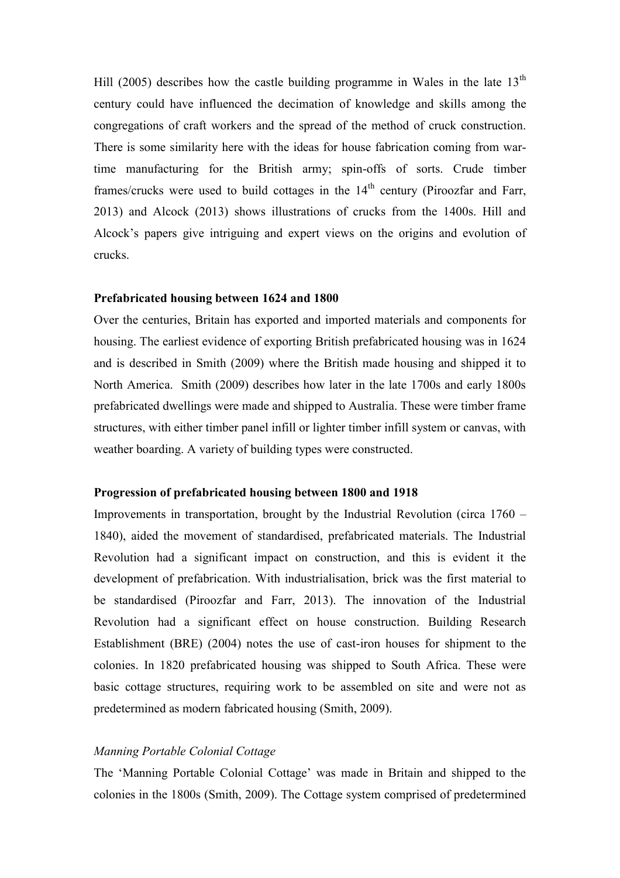Hill (2005) describes how the castle building programme in Wales in the late  $13<sup>th</sup>$ century could have influenced the decimation of knowledge and skills among the congregations of craft workers and the spread of the method of cruck construction. There is some similarity here with the ideas for house fabrication coming from wartime manufacturing for the British army; spin-offs of sorts. Crude timber frames/crucks were used to build cottages in the  $14<sup>th</sup>$  century (Piroozfar and Farr, 2013) and Alcock (2013) shows illustrations of crucks from the 1400s. Hill and Alcock's papers give intriguing and expert views on the origins and evolution of crucks.

#### **Prefabricated housing between 1624 and 1800**

Over the centuries, Britain has exported and imported materials and components for housing. The earliest evidence of exporting British prefabricated housing was in 1624 and is described in Smith (2009) where the British made housing and shipped it to North America. Smith (2009) describes how later in the late 1700s and early 1800s prefabricated dwellings were made and shipped to Australia. These were timber frame structures, with either timber panel infill or lighter timber infill system or canvas, with weather boarding. A variety of building types were constructed.

#### **Progression of prefabricated housing between 1800 and 1918**

Improvements in transportation, brought by the Industrial Revolution (circa 1760 – 1840), aided the movement of standardised, prefabricated materials. The Industrial Revolution had a significant impact on construction, and this is evident it the development of prefabrication. With industrialisation, brick was the first material to be standardised (Piroozfar and Farr, 2013). The innovation of the Industrial Revolution had a significant effect on house construction. Building Research Establishment (BRE) (2004) notes the use of cast-iron houses for shipment to the colonies. In 1820 prefabricated housing was shipped to South Africa. These were basic cottage structures, requiring work to be assembled on site and were not as predetermined as modern fabricated housing (Smith, 2009).

#### *Manning Portable Colonial Cottage*

The 'Manning Portable Colonial Cottage' was made in Britain and shipped to the colonies in the 1800s (Smith, 2009). The Cottage system comprised of predetermined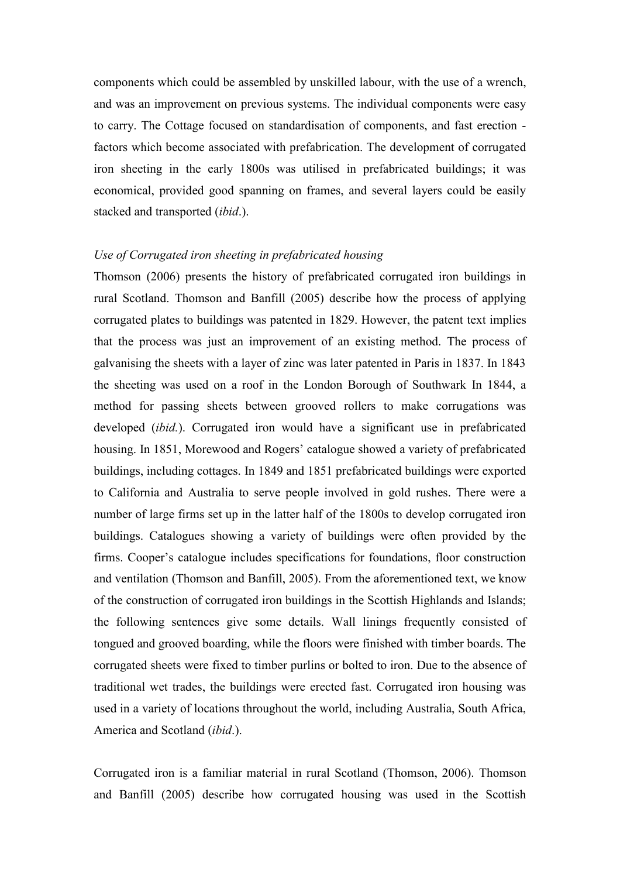components which could be assembled by unskilled labour, with the use of a wrench, and was an improvement on previous systems. The individual components were easy to carry. The Cottage focused on standardisation of components, and fast erection factors which become associated with prefabrication. The development of corrugated iron sheeting in the early 1800s was utilised in prefabricated buildings; it was economical, provided good spanning on frames, and several layers could be easily stacked and transported (*ibid*.).

#### *Use of Corrugated iron sheeting in prefabricated housing*

Thomson (2006) presents the history of prefabricated corrugated iron buildings in rural Scotland. Thomson and Banfill (2005) describe how the process of applying corrugated plates to buildings was patented in 1829. However, the patent text implies that the process was just an improvement of an existing method. The process of galvanising the sheets with a layer of zinc was later patented in Paris in 1837. In 1843 the sheeting was used on a roof in the London Borough of Southwark In 1844, a method for passing sheets between grooved rollers to make corrugations was developed (*ibid.*). Corrugated iron would have a significant use in prefabricated housing. In 1851, Morewood and Rogers' catalogue showed a variety of prefabricated buildings, including cottages. In 1849 and 1851 prefabricated buildings were exported to California and Australia to serve people involved in gold rushes. There were a number of large firms set up in the latter half of the 1800s to develop corrugated iron buildings. Catalogues showing a variety of buildings were often provided by the firms. Cooper's catalogue includes specifications for foundations, floor construction and ventilation (Thomson and Banfill, 2005). From the aforementioned text, we know of the construction of corrugated iron buildings in the Scottish Highlands and Islands; the following sentences give some details. Wall linings frequently consisted of tongued and grooved boarding, while the floors were finished with timber boards. The corrugated sheets were fixed to timber purlins or bolted to iron. Due to the absence of traditional wet trades, the buildings were erected fast. Corrugated iron housing was used in a variety of locations throughout the world, including Australia, South Africa, America and Scotland (*ibid*.).

Corrugated iron is a familiar material in rural Scotland (Thomson, 2006). Thomson and Banfill (2005) describe how corrugated housing was used in the Scottish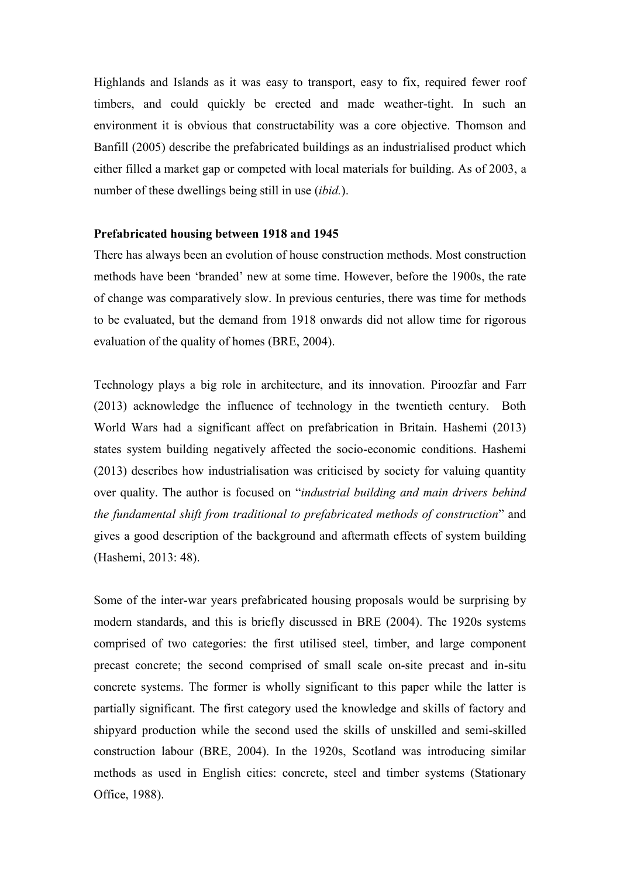Highlands and Islands as it was easy to transport, easy to fix, required fewer roof timbers, and could quickly be erected and made weather-tight. In such an environment it is obvious that constructability was a core objective. Thomson and Banfill (2005) describe the prefabricated buildings as an industrialised product which either filled a market gap or competed with local materials for building. As of 2003, a number of these dwellings being still in use (*ibid.*).

#### **Prefabricated housing between 1918 and 1945**

There has always been an evolution of house construction methods. Most construction methods have been 'branded' new at some time. However, before the 1900s, the rate of change was comparatively slow. In previous centuries, there was time for methods to be evaluated, but the demand from 1918 onwards did not allow time for rigorous evaluation of the quality of homes (BRE, 2004).

Technology plays a big role in architecture, and its innovation. Piroozfar and Farr (2013) acknowledge the influence of technology in the twentieth century. Both World Wars had a significant affect on prefabrication in Britain. Hashemi (2013) states system building negatively affected the socio-economic conditions. Hashemi (2013) describes how industrialisation was criticised by society for valuing quantity over quality. The author is focused on "*industrial building and main drivers behind the fundamental shift from traditional to prefabricated methods of construction*" and gives a good description of the background and aftermath effects of system building (Hashemi, 2013: 48).

Some of the inter-war years prefabricated housing proposals would be surprising by modern standards, and this is briefly discussed in BRE (2004). The 1920s systems comprised of two categories: the first utilised steel, timber, and large component precast concrete; the second comprised of small scale on-site precast and in-situ concrete systems. The former is wholly significant to this paper while the latter is partially significant. The first category used the knowledge and skills of factory and shipyard production while the second used the skills of unskilled and semi-skilled construction labour (BRE, 2004). In the 1920s, Scotland was introducing similar methods as used in English cities: concrete, steel and timber systems (Stationary Office, 1988).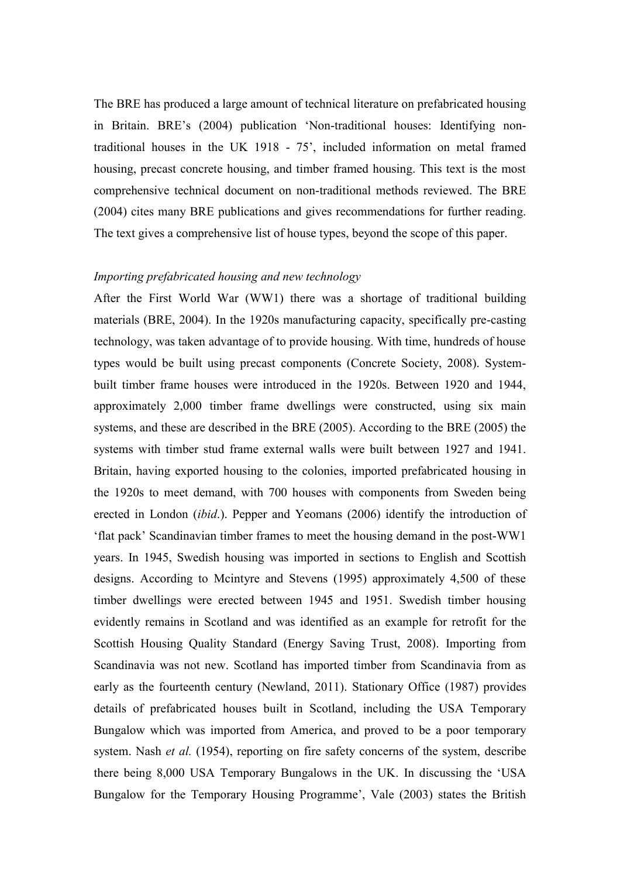The BRE has produced a large amount of technical literature on prefabricated housing in Britain. BRE's (2004) publication 'Non-traditional houses: Identifying nontraditional houses in the UK 1918 - 75', included information on metal framed housing, precast concrete housing, and timber framed housing. This text is the most comprehensive technical document on non-traditional methods reviewed. The BRE (2004) cites many BRE publications and gives recommendations for further reading. The text gives a comprehensive list of house types, beyond the scope of this paper.

#### *Importing prefabricated housing and new technology*

After the First World War (WW1) there was a shortage of traditional building materials (BRE, 2004). In the 1920s manufacturing capacity, specifically pre-casting technology, was taken advantage of to provide housing. With time, hundreds of house types would be built using precast components (Concrete Society, 2008). Systembuilt timber frame houses were introduced in the 1920s. Between 1920 and 1944, approximately 2,000 timber frame dwellings were constructed, using six main systems, and these are described in the BRE (2005). According to the BRE (2005) the systems with timber stud frame external walls were built between 1927 and 1941. Britain, having exported housing to the colonies, imported prefabricated housing in the 1920s to meet demand, with 700 houses with components from Sweden being erected in London (*ibid*.). Pepper and Yeomans (2006) identify the introduction of 'flat pack' Scandinavian timber frames to meet the housing demand in the post-WW1 years. In 1945, Swedish housing was imported in sections to English and Scottish designs. According to Mcintyre and Stevens (1995) approximately 4,500 of these timber dwellings were erected between 1945 and 1951. Swedish timber housing evidently remains in Scotland and was identified as an example for retrofit for the Scottish Housing Quality Standard (Energy Saving Trust, 2008). Importing from Scandinavia was not new. Scotland has imported timber from Scandinavia from as early as the fourteenth century (Newland, 2011). Stationary Office (1987) provides details of prefabricated houses built in Scotland, including the USA Temporary Bungalow which was imported from America, and proved to be a poor temporary system. Nash *et al.* (1954), reporting on fire safety concerns of the system, describe there being 8,000 USA Temporary Bungalows in the UK. In discussing the 'USA Bungalow for the Temporary Housing Programme', Vale (2003) states the British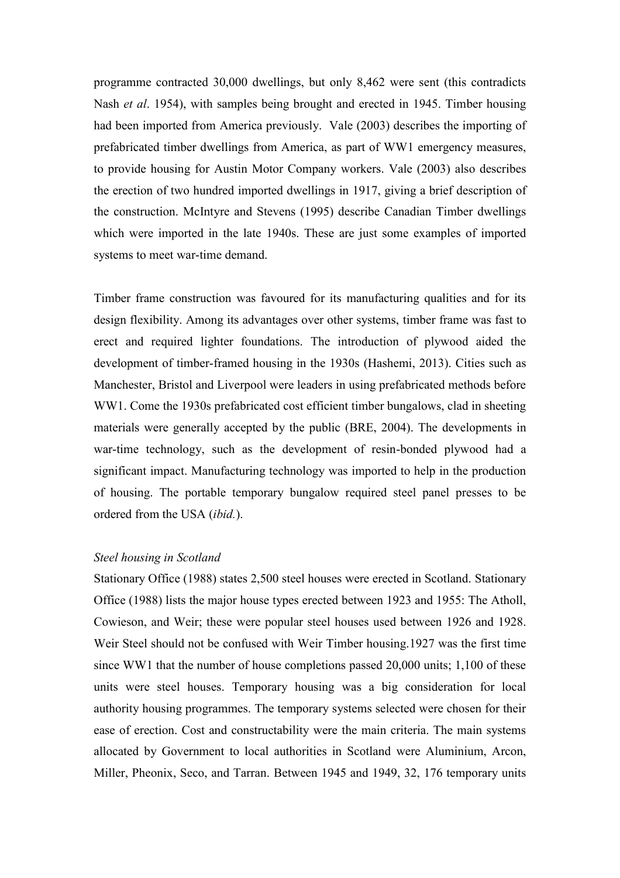programme contracted 30,000 dwellings, but only 8,462 were sent (this contradicts Nash *et al*. 1954), with samples being brought and erected in 1945. Timber housing had been imported from America previously. Vale (2003) describes the importing of prefabricated timber dwellings from America, as part of WW1 emergency measures, to provide housing for Austin Motor Company workers. Vale (2003) also describes the erection of two hundred imported dwellings in 1917, giving a brief description of the construction. McIntyre and Stevens (1995) describe Canadian Timber dwellings which were imported in the late 1940s. These are just some examples of imported systems to meet war-time demand.

Timber frame construction was favoured for its manufacturing qualities and for its design flexibility. Among its advantages over other systems, timber frame was fast to erect and required lighter foundations. The introduction of plywood aided the development of timber-framed housing in the 1930s (Hashemi, 2013). Cities such as Manchester, Bristol and Liverpool were leaders in using prefabricated methods before WW1. Come the 1930s prefabricated cost efficient timber bungalows, clad in sheeting materials were generally accepted by the public (BRE, 2004). The developments in war-time technology, such as the development of resin-bonded plywood had a significant impact. Manufacturing technology was imported to help in the production of housing. The portable temporary bungalow required steel panel presses to be ordered from the USA (*ibid.*).

#### *Steel housing in Scotland*

Stationary Office (1988) states 2,500 steel houses were erected in Scotland. Stationary Office (1988) lists the major house types erected between 1923 and 1955: The Atholl, Cowieson, and Weir; these were popular steel houses used between 1926 and 1928. Weir Steel should not be confused with Weir Timber housing.1927 was the first time since WW1 that the number of house completions passed 20,000 units; 1,100 of these units were steel houses. Temporary housing was a big consideration for local authority housing programmes. The temporary systems selected were chosen for their ease of erection. Cost and constructability were the main criteria. The main systems allocated by Government to local authorities in Scotland were Aluminium, Arcon, Miller, Pheonix, Seco, and Tarran. Between 1945 and 1949, 32, 176 temporary units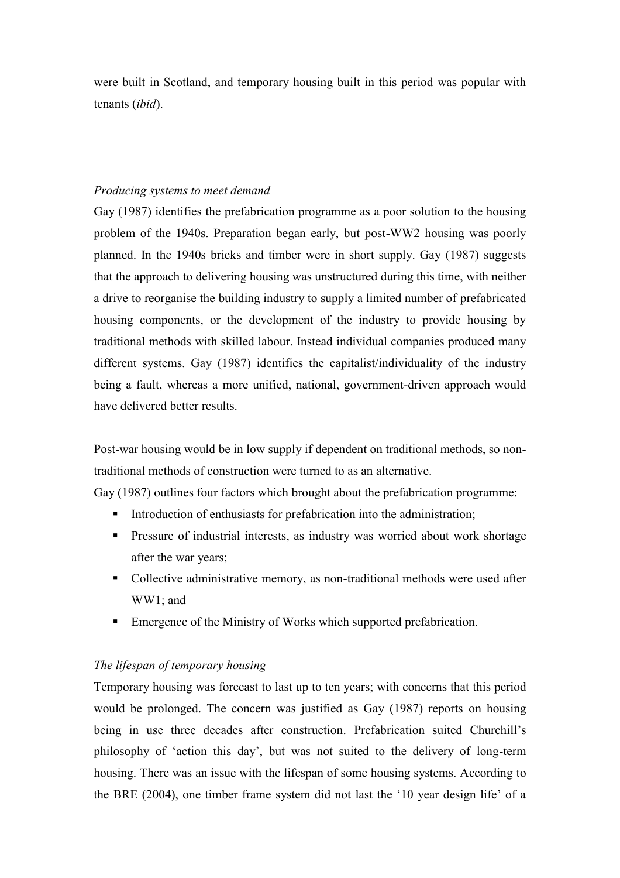were built in Scotland, and temporary housing built in this period was popular with tenants (*ibid*).

# *Producing systems to meet demand*

Gay (1987) identifies the prefabrication programme as a poor solution to the housing problem of the 1940s. Preparation began early, but post-WW2 housing was poorly planned. In the 1940s bricks and timber were in short supply. Gay (1987) suggests that the approach to delivering housing was unstructured during this time, with neither a drive to reorganise the building industry to supply a limited number of prefabricated housing components, or the development of the industry to provide housing by traditional methods with skilled labour. Instead individual companies produced many different systems. Gay (1987) identifies the capitalist/individuality of the industry being a fault, whereas a more unified, national, government-driven approach would have delivered better results.

Post-war housing would be in low supply if dependent on traditional methods, so nontraditional methods of construction were turned to as an alternative.

Gay (1987) outlines four factors which brought about the prefabrication programme:

- Introduction of enthusiasts for prefabrication into the administration;
- Pressure of industrial interests, as industry was worried about work shortage after the war years;
- Collective administrative memory, as non-traditional methods were used after WW1; and
- Emergence of the Ministry of Works which supported prefabrication.

# *The lifespan of temporary housing*

Temporary housing was forecast to last up to ten years; with concerns that this period would be prolonged. The concern was justified as Gay (1987) reports on housing being in use three decades after construction. Prefabrication suited Churchill's philosophy of 'action this day', but was not suited to the delivery of long-term housing. There was an issue with the lifespan of some housing systems. According to the BRE (2004), one timber frame system did not last the '10 year design life' of a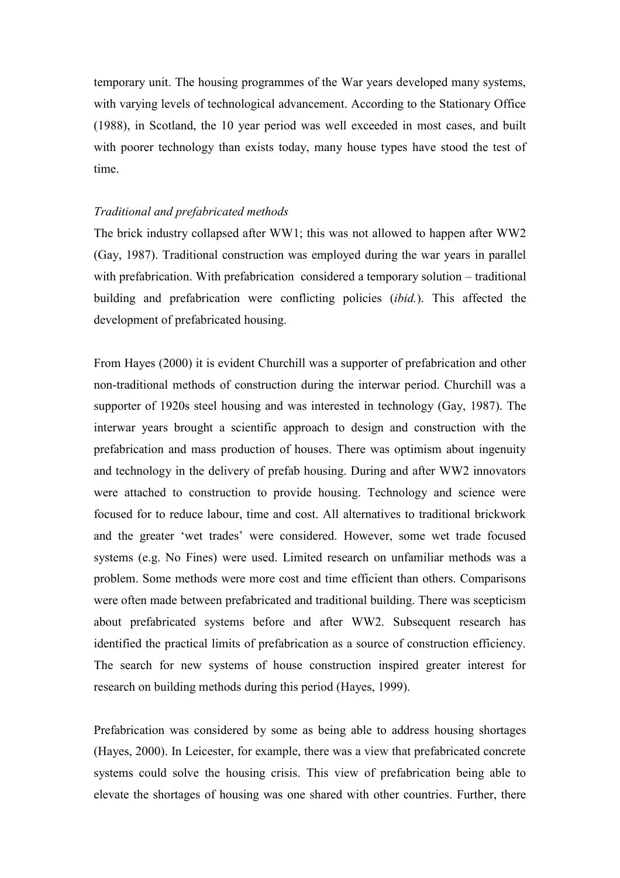temporary unit. The housing programmes of the War years developed many systems, with varying levels of technological advancement. According to the Stationary Office (1988), in Scotland, the 10 year period was well exceeded in most cases, and built with poorer technology than exists today, many house types have stood the test of time.

# *Traditional and prefabricated methods*

The brick industry collapsed after WW1; this was not allowed to happen after WW2 (Gay, 1987). Traditional construction was employed during the war years in parallel with prefabrication. With prefabrication considered a temporary solution – traditional building and prefabrication were conflicting policies (*ibid.*). This affected the development of prefabricated housing.

From Hayes (2000) it is evident Churchill was a supporter of prefabrication and other non-traditional methods of construction during the interwar period. Churchill was a supporter of 1920s steel housing and was interested in technology (Gay, 1987). The interwar years brought a scientific approach to design and construction with the prefabrication and mass production of houses. There was optimism about ingenuity and technology in the delivery of prefab housing. During and after WW2 innovators were attached to construction to provide housing. Technology and science were focused for to reduce labour, time and cost. All alternatives to traditional brickwork and the greater 'wet trades' were considered. However, some wet trade focused systems (e.g. No Fines) were used. Limited research on unfamiliar methods was a problem. Some methods were more cost and time efficient than others. Comparisons were often made between prefabricated and traditional building. There was scepticism about prefabricated systems before and after WW2. Subsequent research has identified the practical limits of prefabrication as a source of construction efficiency. The search for new systems of house construction inspired greater interest for research on building methods during this period (Hayes, 1999).

Prefabrication was considered by some as being able to address housing shortages (Hayes, 2000). In Leicester, for example, there was a view that prefabricated concrete systems could solve the housing crisis. This view of prefabrication being able to elevate the shortages of housing was one shared with other countries. Further, there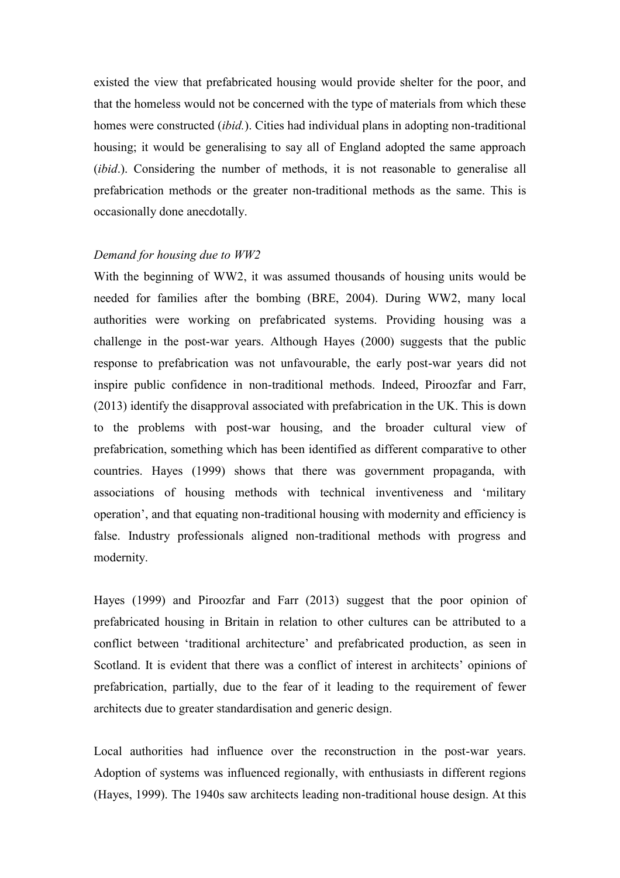existed the view that prefabricated housing would provide shelter for the poor, and that the homeless would not be concerned with the type of materials from which these homes were constructed (*ibid.*). Cities had individual plans in adopting non-traditional housing; it would be generalising to say all of England adopted the same approach (*ibid*.). Considering the number of methods, it is not reasonable to generalise all prefabrication methods or the greater non-traditional methods as the same. This is occasionally done anecdotally.

#### *Demand for housing due to WW2*

With the beginning of WW2, it was assumed thousands of housing units would be needed for families after the bombing (BRE, 2004). During WW2, many local authorities were working on prefabricated systems. Providing housing was a challenge in the post-war years. Although Hayes (2000) suggests that the public response to prefabrication was not unfavourable, the early post-war years did not inspire public confidence in non-traditional methods. Indeed, Piroozfar and Farr, (2013) identify the disapproval associated with prefabrication in the UK. This is down to the problems with post-war housing, and the broader cultural view of prefabrication, something which has been identified as different comparative to other countries. Hayes (1999) shows that there was government propaganda, with associations of housing methods with technical inventiveness and 'military operation', and that equating non-traditional housing with modernity and efficiency is false. Industry professionals aligned non-traditional methods with progress and modernity.

Hayes (1999) and Piroozfar and Farr (2013) suggest that the poor opinion of prefabricated housing in Britain in relation to other cultures can be attributed to a conflict between 'traditional architecture' and prefabricated production, as seen in Scotland. It is evident that there was a conflict of interest in architects' opinions of prefabrication, partially, due to the fear of it leading to the requirement of fewer architects due to greater standardisation and generic design.

Local authorities had influence over the reconstruction in the post-war years. Adoption of systems was influenced regionally, with enthusiasts in different regions (Hayes, 1999). The 1940s saw architects leading non-traditional house design. At this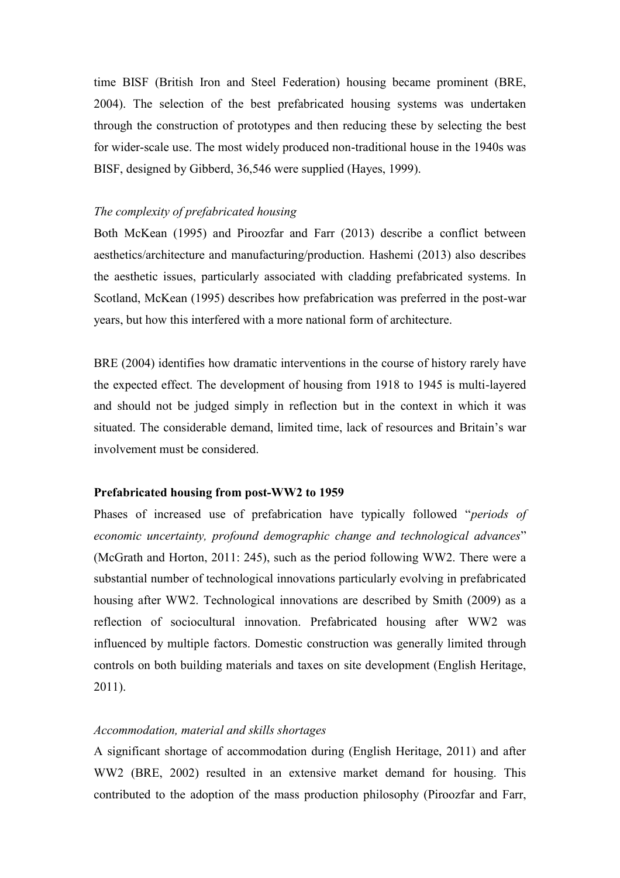time BISF (British Iron and Steel Federation) housing became prominent (BRE, 2004). The selection of the best prefabricated housing systems was undertaken through the construction of prototypes and then reducing these by selecting the best for wider-scale use. The most widely produced non-traditional house in the 1940s was BISF, designed by Gibberd, 36,546 were supplied (Hayes, 1999).

#### *The complexity of prefabricated housing*

Both McKean (1995) and Piroozfar and Farr (2013) describe a conflict between aesthetics/architecture and manufacturing/production. Hashemi (2013) also describes the aesthetic issues, particularly associated with cladding prefabricated systems. In Scotland, McKean (1995) describes how prefabrication was preferred in the post-war years, but how this interfered with a more national form of architecture.

BRE (2004) identifies how dramatic interventions in the course of history rarely have the expected effect. The development of housing from 1918 to 1945 is multi-layered and should not be judged simply in reflection but in the context in which it was situated. The considerable demand, limited time, lack of resources and Britain's war involvement must be considered.

#### **Prefabricated housing from post-WW2 to 1959**

Phases of increased use of prefabrication have typically followed "*periods of economic uncertainty, profound demographic change and technological advances*" (McGrath and Horton, 2011: 245), such as the period following WW2. There were a substantial number of technological innovations particularly evolving in prefabricated housing after WW2. Technological innovations are described by Smith (2009) as a reflection of sociocultural innovation. Prefabricated housing after WW2 was influenced by multiple factors. Domestic construction was generally limited through controls on both building materials and taxes on site development (English Heritage, 2011).

#### *Accommodation, material and skills shortages*

A significant shortage of accommodation during (English Heritage, 2011) and after WW2 (BRE, 2002) resulted in an extensive market demand for housing. This contributed to the adoption of the mass production philosophy (Piroozfar and Farr,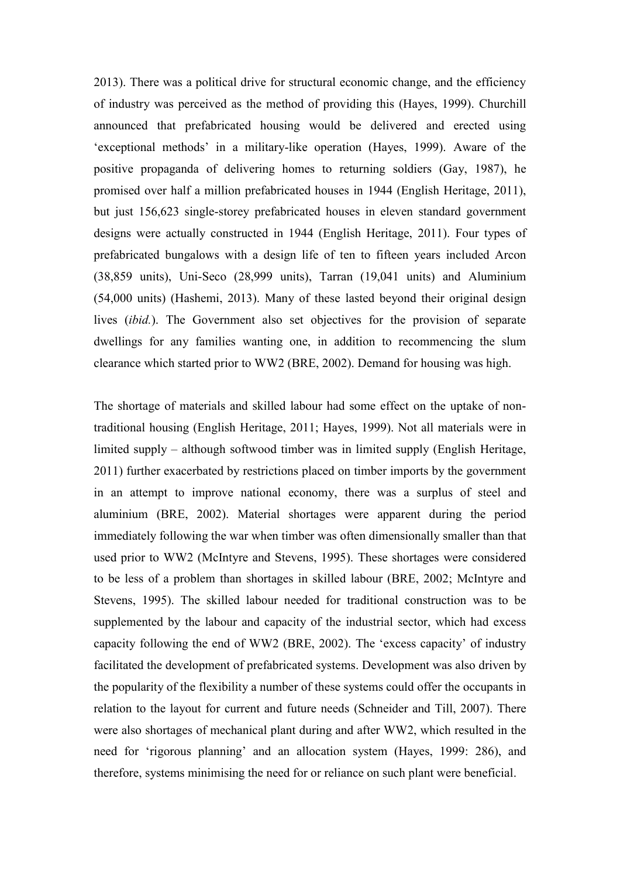2013). There was a political drive for structural economic change, and the efficiency of industry was perceived as the method of providing this (Hayes, 1999). Churchill announced that prefabricated housing would be delivered and erected using 'exceptional methods' in a military-like operation (Hayes, 1999). Aware of the positive propaganda of delivering homes to returning soldiers (Gay, 1987), he promised over half a million prefabricated houses in 1944 (English Heritage, 2011), but just 156,623 single-storey prefabricated houses in eleven standard government designs were actually constructed in 1944 (English Heritage, 2011). Four types of prefabricated bungalows with a design life of ten to fifteen years included Arcon (38,859 units), Uni-Seco (28,999 units), Tarran (19,041 units) and Aluminium (54,000 units) (Hashemi, 2013). Many of these lasted beyond their original design lives (*ibid.*). The Government also set objectives for the provision of separate dwellings for any families wanting one, in addition to recommencing the slum clearance which started prior to WW2 (BRE, 2002). Demand for housing was high.

The shortage of materials and skilled labour had some effect on the uptake of nontraditional housing (English Heritage, 2011; Hayes, 1999). Not all materials were in limited supply – although softwood timber was in limited supply (English Heritage, 2011) further exacerbated by restrictions placed on timber imports by the government in an attempt to improve national economy, there was a surplus of steel and aluminium (BRE, 2002). Material shortages were apparent during the period immediately following the war when timber was often dimensionally smaller than that used prior to WW2 (McIntyre and Stevens, 1995). These shortages were considered to be less of a problem than shortages in skilled labour (BRE, 2002; McIntyre and Stevens, 1995). The skilled labour needed for traditional construction was to be supplemented by the labour and capacity of the industrial sector, which had excess capacity following the end of WW2 (BRE, 2002). The 'excess capacity' of industry facilitated the development of prefabricated systems. Development was also driven by the popularity of the flexibility a number of these systems could offer the occupants in relation to the layout for current and future needs (Schneider and Till, 2007). There were also shortages of mechanical plant during and after WW2, which resulted in the need for 'rigorous planning' and an allocation system (Hayes, 1999: 286), and therefore, systems minimising the need for or reliance on such plant were beneficial.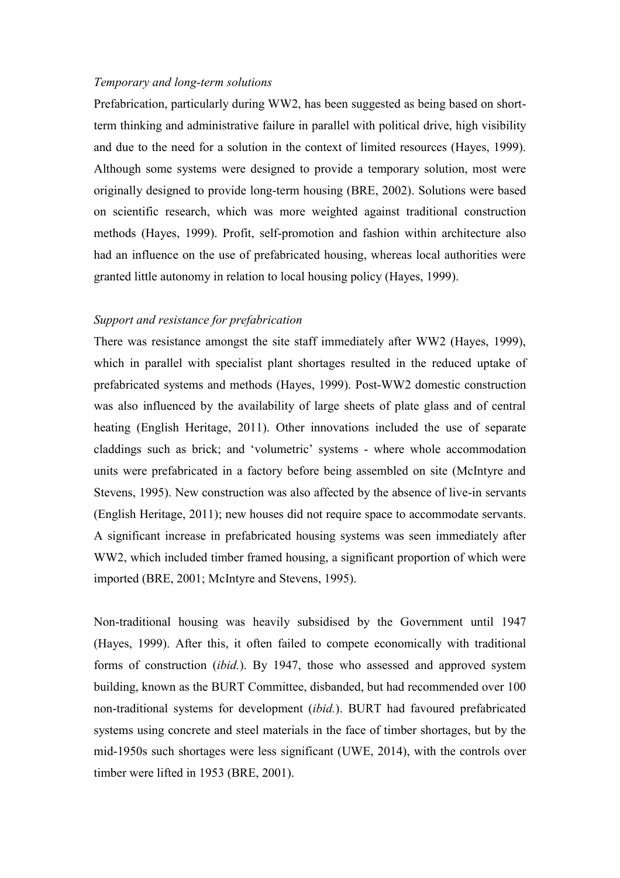#### *Temporary and long-term solutions*

Prefabrication, particularly during WW2, has been suggested as being based on shortterm thinking and administrative failure in parallel with political drive, high visibility and due to the need for a solution in the context of limited resources (Hayes, 1999). Although some systems were designed to provide a temporary solution, most were originally designed to provide long-term housing (BRE, 2002). Solutions were based on scientific research, which was more weighted against traditional construction methods (Hayes, 1999). Profit, self-promotion and fashion within architecture also had an influence on the use of prefabricated housing, whereas local authorities were granted little autonomy in relation to local housing policy (Hayes, 1999).

#### *Support and resistance for prefabrication*

There was resistance amongst the site staff immediately after WW2 (Hayes, 1999), which in parallel with specialist plant shortages resulted in the reduced uptake of prefabricated systems and methods (Hayes, 1999). Post-WW2 domestic construction was also influenced by the availability of large sheets of plate glass and of central heating (English Heritage, 2011). Other innovations included the use of separate claddings such as brick; and 'volumetric' systems - where whole accommodation units were prefabricated in a factory before being assembled on site (McIntyre and Stevens, 1995). New construction was also affected by the absence of live-in servants (English Heritage, 2011); new houses did not require space to accommodate servants. A significant increase in prefabricated housing systems was seen immediately after WW2, which included timber framed housing, a significant proportion of which were imported (BRE, 2001; McIntyre and Stevens, 1995).

Non-traditional housing was heavily subsidised by the Government until 1947 (Hayes, 1999). After this, it often failed to compete economically with traditional forms of construction (*ibid.*). By 1947, those who assessed and approved system building, known as the BURT Committee, disbanded, but had recommended over 100 non-traditional systems for development (*ibid.*). BURT had favoured prefabricated systems using concrete and steel materials in the face of timber shortages, but by the mid-1950s such shortages were less significant (UWE, 2014), with the controls over timber were lifted in 1953 (BRE, 2001).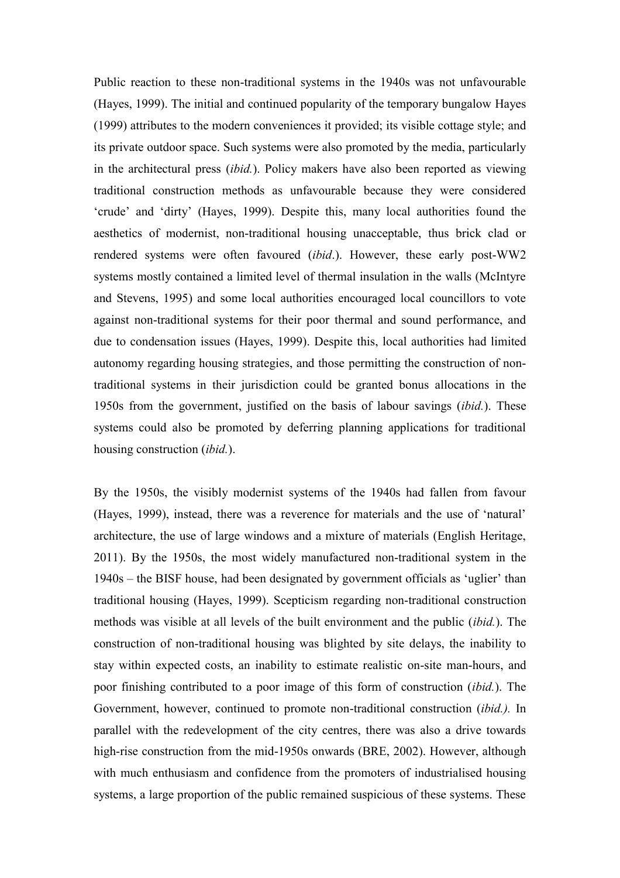Public reaction to these non-traditional systems in the 1940s was not unfavourable (Hayes, 1999). The initial and continued popularity of the temporary bungalow Hayes (1999) attributes to the modern conveniences it provided; its visible cottage style; and its private outdoor space. Such systems were also promoted by the media, particularly in the architectural press (*ibid.*). Policy makers have also been reported as viewing traditional construction methods as unfavourable because they were considered 'crude' and 'dirty' (Hayes, 1999). Despite this, many local authorities found the aesthetics of modernist, non-traditional housing unacceptable, thus brick clad or rendered systems were often favoured (*ibid*.). However, these early post-WW2 systems mostly contained a limited level of thermal insulation in the walls (McIntyre and Stevens, 1995) and some local authorities encouraged local councillors to vote against non-traditional systems for their poor thermal and sound performance, and due to condensation issues (Hayes, 1999). Despite this, local authorities had limited autonomy regarding housing strategies, and those permitting the construction of nontraditional systems in their jurisdiction could be granted bonus allocations in the 1950s from the government, justified on the basis of labour savings (*ibid.*). These systems could also be promoted by deferring planning applications for traditional housing construction (*ibid.*).

By the 1950s, the visibly modernist systems of the 1940s had fallen from favour (Hayes, 1999), instead, there was a reverence for materials and the use of 'natural' architecture, the use of large windows and a mixture of materials (English Heritage, 2011). By the 1950s, the most widely manufactured non-traditional system in the 1940s – the BISF house, had been designated by government officials as 'uglier' than traditional housing (Hayes, 1999). Scepticism regarding non-traditional construction methods was visible at all levels of the built environment and the public (*ibid.*). The construction of non-traditional housing was blighted by site delays, the inability to stay within expected costs, an inability to estimate realistic on-site man-hours, and poor finishing contributed to a poor image of this form of construction (*ibid.*). The Government, however, continued to promote non-traditional construction (*ibid.).* In parallel with the redevelopment of the city centres, there was also a drive towards high-rise construction from the mid-1950s onwards (BRE, 2002). However, although with much enthusiasm and confidence from the promoters of industrialised housing systems, a large proportion of the public remained suspicious of these systems. These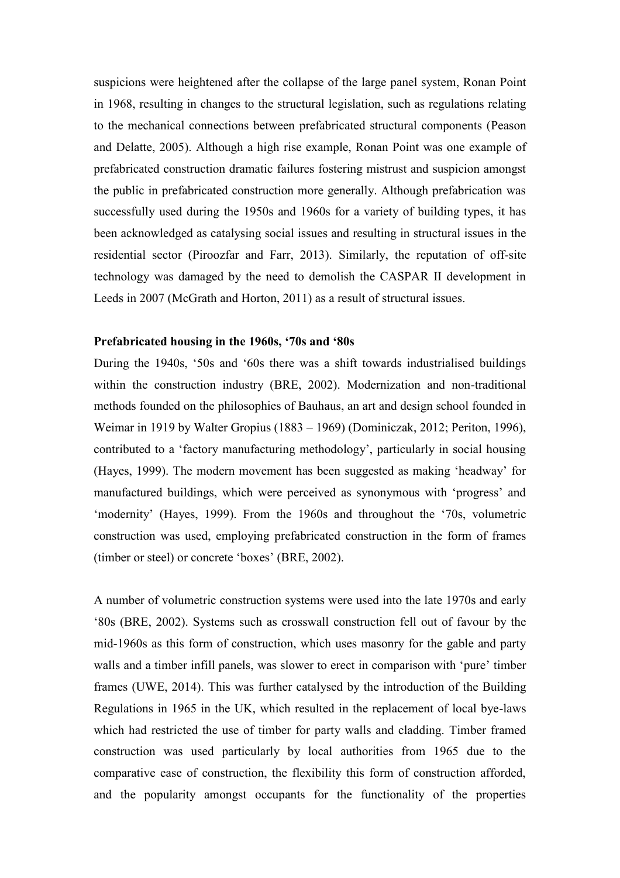suspicions were heightened after the collapse of the large panel system, Ronan Point in 1968, resulting in changes to the structural legislation, such as regulations relating to the mechanical connections between prefabricated structural components (Peason and Delatte, 2005). Although a high rise example, Ronan Point was one example of prefabricated construction dramatic failures fostering mistrust and suspicion amongst the public in prefabricated construction more generally. Although prefabrication was successfully used during the 1950s and 1960s for a variety of building types, it has been acknowledged as catalysing social issues and resulting in structural issues in the residential sector (Piroozfar and Farr, 2013). Similarly, the reputation of off-site technology was damaged by the need to demolish the CASPAR II development in Leeds in 2007 (McGrath and Horton, 2011) as a result of structural issues.

## **Prefabricated housing in the 1960s, '70s and '80s**

During the 1940s, '50s and '60s there was a shift towards industrialised buildings within the construction industry (BRE, 2002). Modernization and non-traditional methods founded on the philosophies of Bauhaus, an art and design school founded in Weimar in 1919 by Walter Gropius (1883 – 1969) (Dominiczak, 2012; Periton, 1996), contributed to a 'factory manufacturing methodology', particularly in social housing (Hayes, 1999). The modern movement has been suggested as making 'headway' for manufactured buildings, which were perceived as synonymous with 'progress' and 'modernity' (Hayes, 1999). From the 1960s and throughout the '70s, volumetric construction was used, employing prefabricated construction in the form of frames (timber or steel) or concrete 'boxes' (BRE, 2002).

A number of volumetric construction systems were used into the late 1970s and early '80s (BRE, 2002). Systems such as crosswall construction fell out of favour by the mid-1960s as this form of construction, which uses masonry for the gable and party walls and a timber infill panels, was slower to erect in comparison with 'pure' timber frames (UWE, 2014). This was further catalysed by the introduction of the Building Regulations in 1965 in the UK, which resulted in the replacement of local bye-laws which had restricted the use of timber for party walls and cladding. Timber framed construction was used particularly by local authorities from 1965 due to the comparative ease of construction, the flexibility this form of construction afforded, and the popularity amongst occupants for the functionality of the properties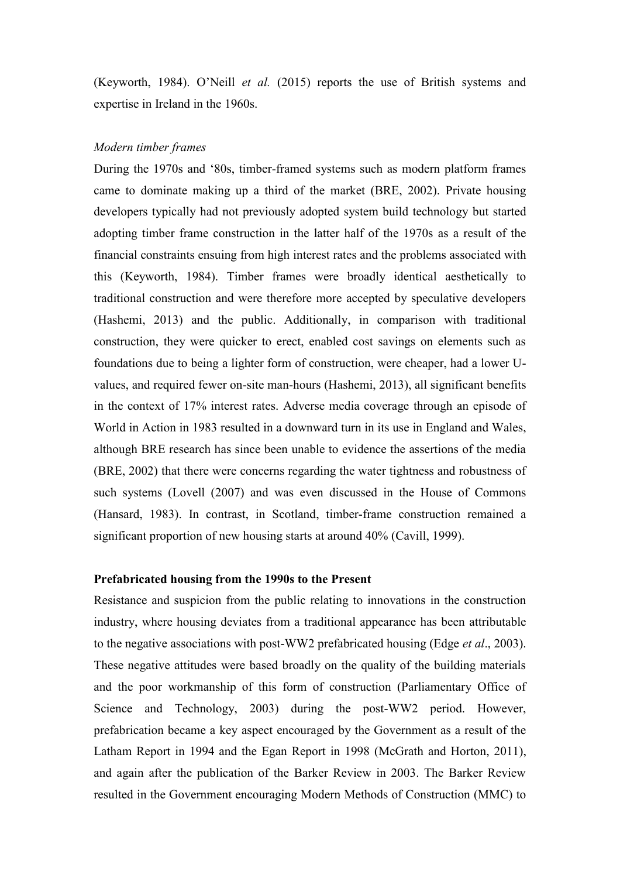(Keyworth, 1984). O'Neill *et al.* (2015) reports the use of British systems and expertise in Ireland in the 1960s.

#### *Modern timber frames*

During the 1970s and '80s, timber-framed systems such as modern platform frames came to dominate making up a third of the market (BRE, 2002). Private housing developers typically had not previously adopted system build technology but started adopting timber frame construction in the latter half of the 1970s as a result of the financial constraints ensuing from high interest rates and the problems associated with this (Keyworth, 1984). Timber frames were broadly identical aesthetically to traditional construction and were therefore more accepted by speculative developers (Hashemi, 2013) and the public. Additionally, in comparison with traditional construction, they were quicker to erect, enabled cost savings on elements such as foundations due to being a lighter form of construction, were cheaper, had a lower Uvalues, and required fewer on-site man-hours (Hashemi, 2013), all significant benefits in the context of 17% interest rates. Adverse media coverage through an episode of World in Action in 1983 resulted in a downward turn in its use in England and Wales, although BRE research has since been unable to evidence the assertions of the media (BRE, 2002) that there were concerns regarding the water tightness and robustness of such systems (Lovell (2007) and was even discussed in the House of Commons (Hansard, 1983). In contrast, in Scotland, timber-frame construction remained a significant proportion of new housing starts at around 40% (Cavill, 1999).

#### **Prefabricated housing from the 1990s to the Present**

Resistance and suspicion from the public relating to innovations in the construction industry, where housing deviates from a traditional appearance has been attributable to the negative associations with post-WW2 prefabricated housing (Edge *et al*., 2003). These negative attitudes were based broadly on the quality of the building materials and the poor workmanship of this form of construction (Parliamentary Office of Science and Technology, 2003) during the post-WW2 period. However, prefabrication became a key aspect encouraged by the Government as a result of the Latham Report in 1994 and the Egan Report in 1998 (McGrath and Horton, 2011), and again after the publication of the Barker Review in 2003. The Barker Review resulted in the Government encouraging Modern Methods of Construction (MMC) to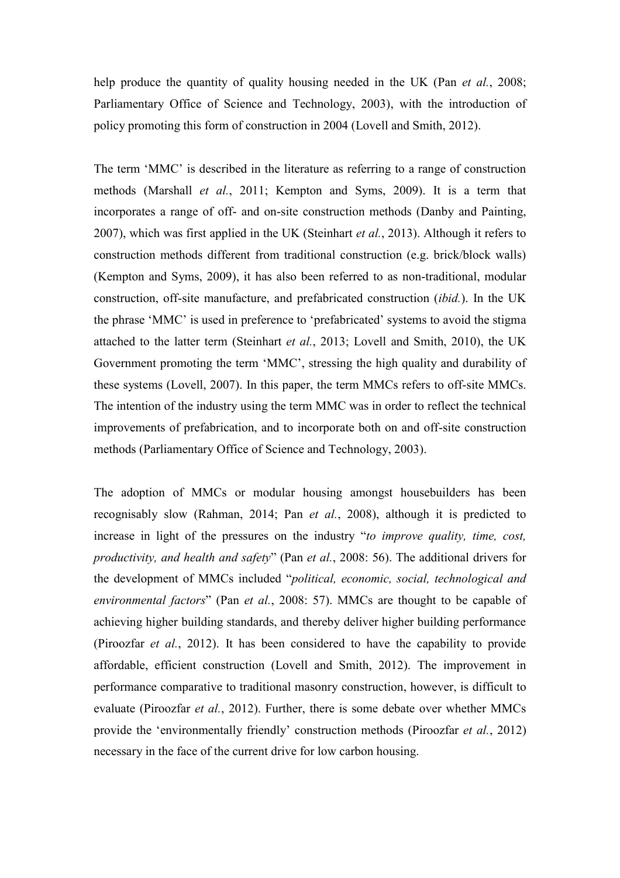help produce the quantity of quality housing needed in the UK (Pan *et al.*, 2008; Parliamentary Office of Science and Technology, 2003), with the introduction of policy promoting this form of construction in 2004 (Lovell and Smith, 2012).

The term 'MMC' is described in the literature as referring to a range of construction methods (Marshall *et al.*, 2011; Kempton and Syms, 2009). It is a term that incorporates a range of off- and on-site construction methods (Danby and Painting, 2007), which was first applied in the UK (Steinhart *et al.*, 2013). Although it refers to construction methods different from traditional construction (e.g. brick/block walls) (Kempton and Syms, 2009), it has also been referred to as non-traditional, modular construction, off-site manufacture, and prefabricated construction (*ibid.*). In the UK the phrase 'MMC' is used in preference to 'prefabricated' systems to avoid the stigma attached to the latter term (Steinhart *et al.*, 2013; Lovell and Smith, 2010), the UK Government promoting the term 'MMC', stressing the high quality and durability of these systems (Lovell, 2007). In this paper, the term MMCs refers to off-site MMCs. The intention of the industry using the term MMC was in order to reflect the technical improvements of prefabrication, and to incorporate both on and off-site construction methods (Parliamentary Office of Science and Technology, 2003).

The adoption of MMCs or modular housing amongst housebuilders has been recognisably slow (Rahman, 2014; Pan *et al.*, 2008), although it is predicted to increase in light of the pressures on the industry "*to improve quality, time, cost, productivity, and health and safety*" (Pan *et al.*, 2008: 56). The additional drivers for the development of MMCs included "*political, economic, social, technological and environmental factors*" (Pan *et al.*, 2008: 57). MMCs are thought to be capable of achieving higher building standards, and thereby deliver higher building performance (Piroozfar *et al.*, 2012). It has been considered to have the capability to provide affordable, efficient construction (Lovell and Smith, 2012). The improvement in performance comparative to traditional masonry construction, however, is difficult to evaluate (Piroozfar *et al.*, 2012). Further, there is some debate over whether MMCs provide the 'environmentally friendly' construction methods (Piroozfar *et al.*, 2012) necessary in the face of the current drive for low carbon housing.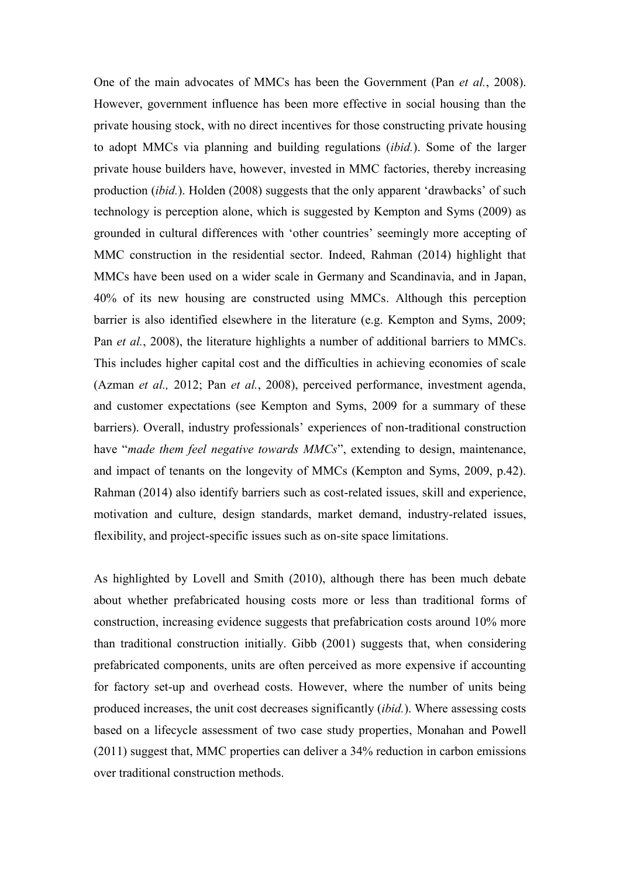One of the main advocates of MMCs has been the Government (Pan *et al.*, 2008). However, government influence has been more effective in social housing than the private housing stock, with no direct incentives for those constructing private housing to adopt MMCs via planning and building regulations (*ibid.*). Some of the larger private house builders have, however, invested in MMC factories, thereby increasing production (*ibid.*). Holden (2008) suggests that the only apparent 'drawbacks' of such technology is perception alone, which is suggested by Kempton and Syms (2009) as grounded in cultural differences with 'other countries' seemingly more accepting of MMC construction in the residential sector. Indeed, Rahman (2014) highlight that MMCs have been used on a wider scale in Germany and Scandinavia, and in Japan, 40% of its new housing are constructed using MMCs. Although this perception barrier is also identified elsewhere in the literature (e.g. Kempton and Syms, 2009; Pan *et al.*, 2008), the literature highlights a number of additional barriers to MMCs. This includes higher capital cost and the difficulties in achieving economies of scale (Azman *et al.,* 2012; Pan *et al.*, 2008), perceived performance, investment agenda, and customer expectations (see Kempton and Syms, 2009 for a summary of these barriers). Overall, industry professionals' experiences of non-traditional construction have "*made them feel negative towards MMCs*", extending to design, maintenance, and impact of tenants on the longevity of MMCs (Kempton and Syms, 2009, p.42). Rahman (2014) also identify barriers such as cost-related issues, skill and experience, motivation and culture, design standards, market demand, industry-related issues, flexibility, and project-specific issues such as on-site space limitations.

As highlighted by Lovell and Smith (2010), although there has been much debate about whether prefabricated housing costs more or less than traditional forms of construction, increasing evidence suggests that prefabrication costs around 10% more than traditional construction initially. Gibb (2001) suggests that, when considering prefabricated components, units are often perceived as more expensive if accounting for factory set-up and overhead costs. However, where the number of units being produced increases, the unit cost decreases significantly (*ibid.*). Where assessing costs based on a lifecycle assessment of two case study properties, Monahan and Powell (2011) suggest that, MMC properties can deliver a 34% reduction in carbon emissions over traditional construction methods.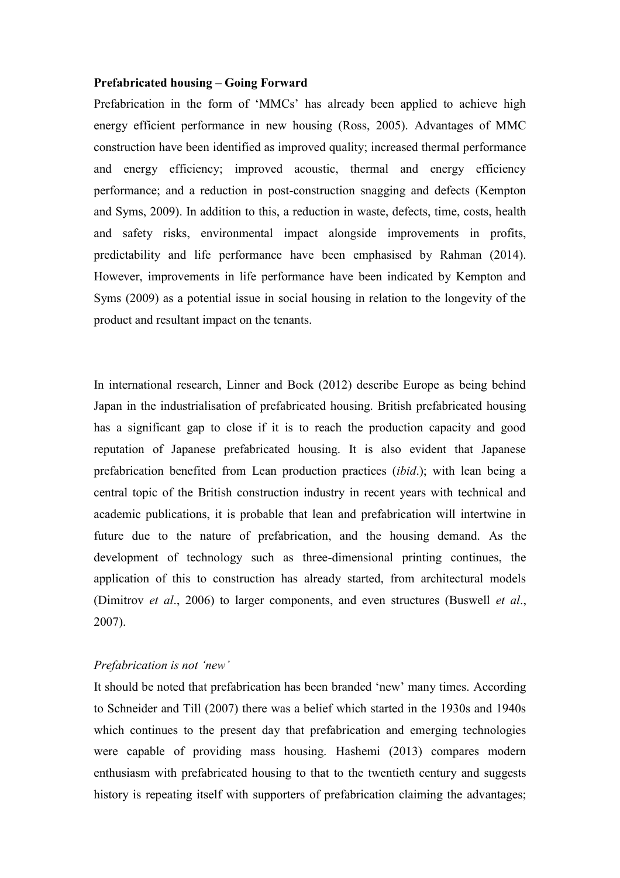#### **Prefabricated housing – Going Forward**

Prefabrication in the form of 'MMCs' has already been applied to achieve high energy efficient performance in new housing (Ross, 2005). Advantages of MMC construction have been identified as improved quality; increased thermal performance and energy efficiency; improved acoustic, thermal and energy efficiency performance; and a reduction in post-construction snagging and defects (Kempton and Syms, 2009). In addition to this, a reduction in waste, defects, time, costs, health and safety risks, environmental impact alongside improvements in profits, predictability and life performance have been emphasised by Rahman (2014). However, improvements in life performance have been indicated by Kempton and Syms (2009) as a potential issue in social housing in relation to the longevity of the product and resultant impact on the tenants.

In international research, Linner and Bock (2012) describe Europe as being behind Japan in the industrialisation of prefabricated housing. British prefabricated housing has a significant gap to close if it is to reach the production capacity and good reputation of Japanese prefabricated housing. It is also evident that Japanese prefabrication benefited from Lean production practices (*ibid*.); with lean being a central topic of the British construction industry in recent years with technical and academic publications, it is probable that lean and prefabrication will intertwine in future due to the nature of prefabrication, and the housing demand. As the development of technology such as three-dimensional printing continues, the application of this to construction has already started, from architectural models (Dimitrov *et al*., 2006) to larger components, and even structures (Buswell *et al*., 2007).

### *Prefabrication is not 'new'*

It should be noted that prefabrication has been branded 'new' many times. According to Schneider and Till (2007) there was a belief which started in the 1930s and 1940s which continues to the present day that prefabrication and emerging technologies were capable of providing mass housing. Hashemi (2013) compares modern enthusiasm with prefabricated housing to that to the twentieth century and suggests history is repeating itself with supporters of prefabrication claiming the advantages;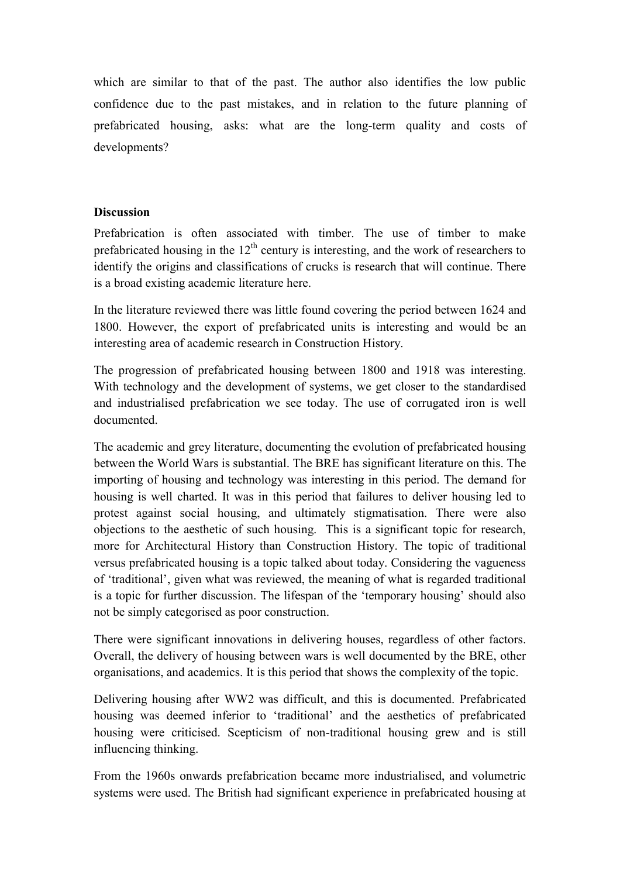which are similar to that of the past. The author also identifies the low public confidence due to the past mistakes, and in relation to the future planning of prefabricated housing, asks: what are the long-term quality and costs of developments?

# **Discussion**

Prefabrication is often associated with timber. The use of timber to make prefabricated housing in the  $12<sup>th</sup>$  century is interesting, and the work of researchers to identify the origins and classifications of crucks is research that will continue. There is a broad existing academic literature here.

In the literature reviewed there was little found covering the period between 1624 and 1800. However, the export of prefabricated units is interesting and would be an interesting area of academic research in Construction History.

The progression of prefabricated housing between 1800 and 1918 was interesting. With technology and the development of systems, we get closer to the standardised and industrialised prefabrication we see today. The use of corrugated iron is well documented.

The academic and grey literature, documenting the evolution of prefabricated housing between the World Wars is substantial. The BRE has significant literature on this. The importing of housing and technology was interesting in this period. The demand for housing is well charted. It was in this period that failures to deliver housing led to protest against social housing, and ultimately stigmatisation. There were also objections to the aesthetic of such housing. This is a significant topic for research, more for Architectural History than Construction History. The topic of traditional versus prefabricated housing is a topic talked about today. Considering the vagueness of 'traditional', given what was reviewed, the meaning of what is regarded traditional is a topic for further discussion. The lifespan of the 'temporary housing' should also not be simply categorised as poor construction.

There were significant innovations in delivering houses, regardless of other factors. Overall, the delivery of housing between wars is well documented by the BRE, other organisations, and academics. It is this period that shows the complexity of the topic.

Delivering housing after WW2 was difficult, and this is documented. Prefabricated housing was deemed inferior to 'traditional' and the aesthetics of prefabricated housing were criticised. Scepticism of non-traditional housing grew and is still influencing thinking.

From the 1960s onwards prefabrication became more industrialised, and volumetric systems were used. The British had significant experience in prefabricated housing at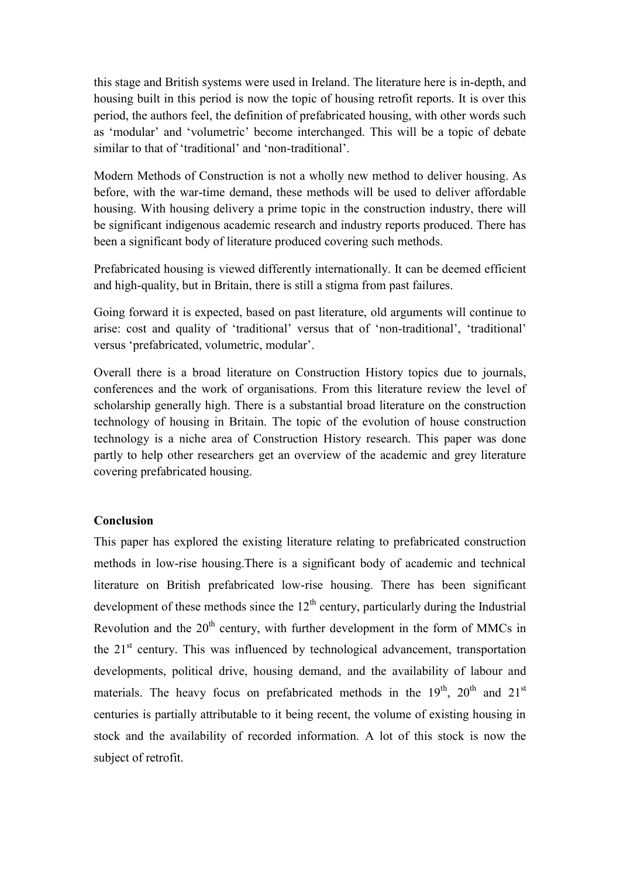this stage and British systems were used in Ireland. The literature here is in-depth, and housing built in this period is now the topic of housing retrofit reports. It is over this period, the authors feel, the definition of prefabricated housing, with other words such as 'modular' and 'volumetric' become interchanged. This will be a topic of debate similar to that of 'traditional' and 'non-traditional'.

Modern Methods of Construction is not a wholly new method to deliver housing. As before, with the war-time demand, these methods will be used to deliver affordable housing. With housing delivery a prime topic in the construction industry, there will be significant indigenous academic research and industry reports produced. There has been a significant body of literature produced covering such methods.

Prefabricated housing is viewed differently internationally. It can be deemed efficient and high-quality, but in Britain, there is still a stigma from past failures.

Going forward it is expected, based on past literature, old arguments will continue to arise: cost and quality of 'traditional' versus that of 'non-traditional', 'traditional' versus 'prefabricated, volumetric, modular'.

Overall there is a broad literature on Construction History topics due to journals, conferences and the work of organisations. From this literature review the level of scholarship generally high. There is a substantial broad literature on the construction technology of housing in Britain. The topic of the evolution of house construction technology is a niche area of Construction History research. This paper was done partly to help other researchers get an overview of the academic and grey literature covering prefabricated housing.

## **Conclusion**

This paper has explored the existing literature relating to prefabricated construction methods in low-rise housing.There is a significant body of academic and technical literature on British prefabricated low-rise housing. There has been significant development of these methods since the  $12<sup>th</sup>$  century, particularly during the Industrial Revolution and the  $20<sup>th</sup>$  century, with further development in the form of MMCs in the 21<sup>st</sup> century. This was influenced by technological advancement, transportation developments, political drive, housing demand, and the availability of labour and materials. The heavy focus on prefabricated methods in the  $19<sup>th</sup>$ ,  $20<sup>th</sup>$  and  $21<sup>st</sup>$ centuries is partially attributable to it being recent, the volume of existing housing in stock and the availability of recorded information. A lot of this stock is now the subject of retrofit.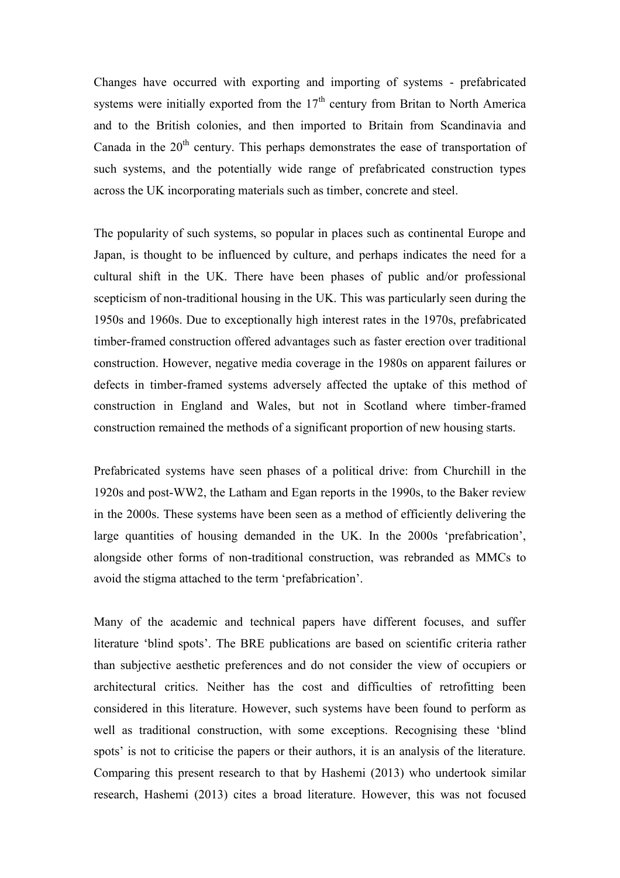Changes have occurred with exporting and importing of systems - prefabricated systems were initially exported from the  $17<sup>th</sup>$  century from Britan to North America and to the British colonies, and then imported to Britain from Scandinavia and Canada in the  $20<sup>th</sup>$  century. This perhaps demonstrates the ease of transportation of such systems, and the potentially wide range of prefabricated construction types across the UK incorporating materials such as timber, concrete and steel.

The popularity of such systems, so popular in places such as continental Europe and Japan, is thought to be influenced by culture, and perhaps indicates the need for a cultural shift in the UK. There have been phases of public and/or professional scepticism of non-traditional housing in the UK. This was particularly seen during the 1950s and 1960s. Due to exceptionally high interest rates in the 1970s, prefabricated timber-framed construction offered advantages such as faster erection over traditional construction. However, negative media coverage in the 1980s on apparent failures or defects in timber-framed systems adversely affected the uptake of this method of construction in England and Wales, but not in Scotland where timber-framed construction remained the methods of a significant proportion of new housing starts.

Prefabricated systems have seen phases of a political drive: from Churchill in the 1920s and post-WW2, the Latham and Egan reports in the 1990s, to the Baker review in the 2000s. These systems have been seen as a method of efficiently delivering the large quantities of housing demanded in the UK. In the 2000s 'prefabrication', alongside other forms of non-traditional construction, was rebranded as MMCs to avoid the stigma attached to the term 'prefabrication'.

Many of the academic and technical papers have different focuses, and suffer literature 'blind spots'. The BRE publications are based on scientific criteria rather than subjective aesthetic preferences and do not consider the view of occupiers or architectural critics. Neither has the cost and difficulties of retrofitting been considered in this literature. However, such systems have been found to perform as well as traditional construction, with some exceptions. Recognising these 'blind spots' is not to criticise the papers or their authors, it is an analysis of the literature. Comparing this present research to that by Hashemi (2013) who undertook similar research, Hashemi (2013) cites a broad literature. However, this was not focused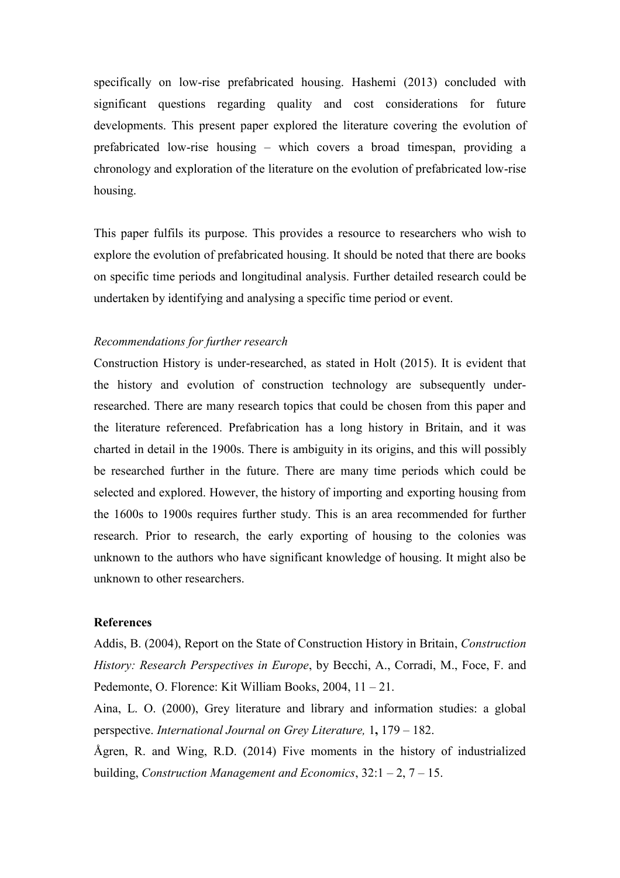specifically on low-rise prefabricated housing. Hashemi (2013) concluded with significant questions regarding quality and cost considerations for future developments. This present paper explored the literature covering the evolution of prefabricated low-rise housing – which covers a broad timespan, providing a chronology and exploration of the literature on the evolution of prefabricated low-rise housing.

This paper fulfils its purpose. This provides a resource to researchers who wish to explore the evolution of prefabricated housing. It should be noted that there are books on specific time periods and longitudinal analysis. Further detailed research could be undertaken by identifying and analysing a specific time period or event.

## *Recommendations for further research*

Construction History is under-researched, as stated in Holt (2015). It is evident that the history and evolution of construction technology are subsequently underresearched. There are many research topics that could be chosen from this paper and the literature referenced. Prefabrication has a long history in Britain, and it was charted in detail in the 1900s. There is ambiguity in its origins, and this will possibly be researched further in the future. There are many time periods which could be selected and explored. However, the history of importing and exporting housing from the 1600s to 1900s requires further study. This is an area recommended for further research. Prior to research, the early exporting of housing to the colonies was unknown to the authors who have significant knowledge of housing. It might also be unknown to other researchers.

#### **References**

Addis, B. (2004), Report on the State of Construction History in Britain, *Construction History: Research Perspectives in Europe*, by Becchi, A., Corradi, M., Foce, F. and Pedemonte, O. Florence: Kit William Books, 2004, 11 – 21.

Aina, L. O. (2000), Grey literature and library and information studies: a global perspective. *International Journal on Grey Literature,* 1**,** 179 – 182.

Ågren, R. and Wing, R.D. (2014) Five moments in the history of industrialized building, *Construction Management and Economics*, 32:1 – 2, 7 – 15.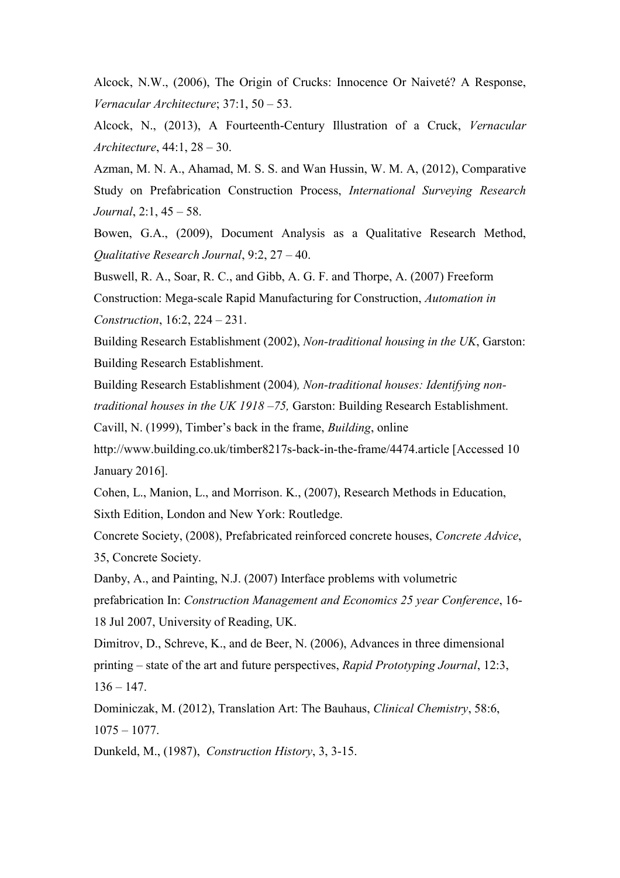Alcock, N.W., (2006), The Origin of Crucks: Innocence Or Naiveté? A Response, *Vernacular Architecture*; 37:1, 50 – 53.

Alcock, N., (2013), A Fourteenth-Century Illustration of a Cruck, *Vernacular Architecture*, 44:1, 28 – 30.

Azman, M. N. A., Ahamad, M. S. S. and Wan Hussin, W. M. A, (2012), Comparative Study on Prefabrication Construction Process, *International Surveying Research Journal*, 2:1, 45 – 58.

Bowen, G.A., (2009), Document Analysis as a Qualitative Research Method, *Qualitative Research Journal*, 9:2, 27 – 40.

Buswell, R. A., Soar, R. C., and Gibb, A. G. F. and Thorpe, A. (2007) Freeform Construction: Mega-scale Rapid Manufacturing for Construction, *Automation in Construction*, 16:2, 224 – 231.

Building Research Establishment (2002), *Non-traditional housing in the UK*, Garston: Building Research Establishment.

Building Research Establishment (2004)*, Non-traditional houses: Identifying nontraditional houses in the UK 1918 –75,* Garston: Building Research Establishment.

Cavill, N. (1999), Timber's back in the frame, *Building*, online

http://www.building.co.uk/timber8217s-back-in-the-frame/4474.article [Accessed 10 January 2016].

Cohen, L., Manion, L., and Morrison. K., (2007), Research Methods in Education, Sixth Edition, London and New York: Routledge.

Concrete Society, (2008), Prefabricated reinforced concrete houses, *Concrete Advice*, 35, Concrete Society.

Danby, A., and Painting, N.J. (2007) Interface problems with volumetric

prefabrication In: *Construction Management and Economics 25 year Conference*, 16- 18 Jul 2007, University of Reading, UK.

Dimitrov, D., Schreve, K., and de Beer, N. (2006), Advances in three dimensional printing – state of the art and future perspectives, *Rapid Prototyping Journal*, 12:3,  $136 - 147$ .

Dominiczak, M. (2012), Translation Art: The Bauhaus, *Clinical Chemistry*, 58:6,  $1075 - 1077$ .

Dunkeld, M., (1987), *Construction History*, 3, 3-15.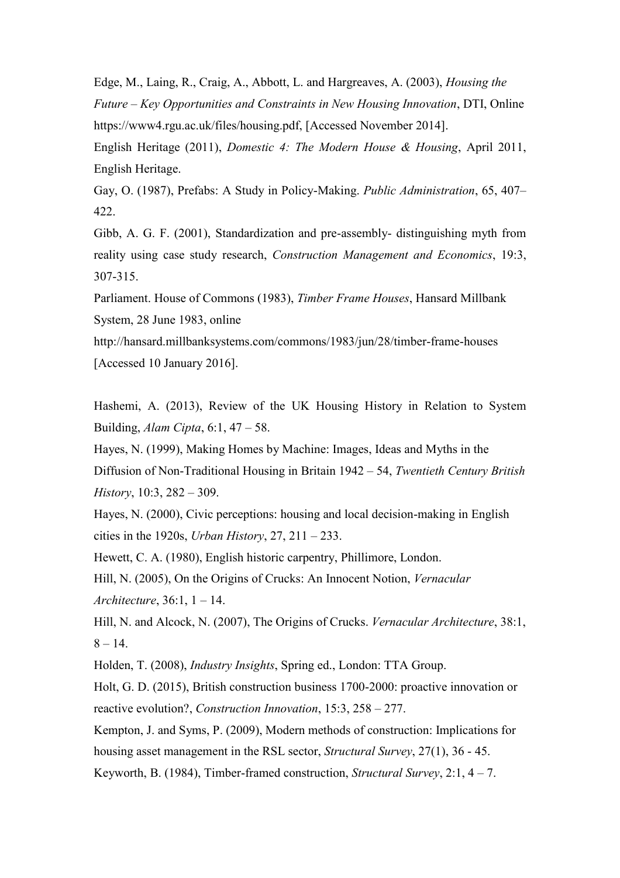Edge, M., Laing, R., Craig, A., Abbott, L. and Hargreaves, A. (2003), *Housing the Future – Key Opportunities and Constraints in New Housing Innovation*, DTI, Online https://www4.rgu.ac.uk/files/housing.pdf, [Accessed November 2014].

English Heritage (2011), *Domestic 4: The Modern House & Housing*, April 2011, English Heritage.

Gay, O. (1987), Prefabs: A Study in Policy-Making. *Public Administration*, 65, 407– 422.

Gibb, A. G. F. (2001), Standardization and pre-assembly- distinguishing myth from reality using case study research, *Construction Management and Economics*, 19:3, 307-315.

Parliament. House of Commons (1983), *Timber Frame Houses*, Hansard Millbank System, 28 June 1983, online

http://hansard.millbanksystems.com/commons/1983/jun/28/timber-frame-houses [Accessed 10 January 2016].

Hashemi, A. (2013), Review of the UK Housing History in Relation to System Building, *Alam Cipta*, 6:1, 47 – 58.

Hayes, N. (1999), Making Homes by Machine: Images, Ideas and Myths in the Diffusion of Non-Traditional Housing in Britain 1942 – 54, *Twentieth Century British History*, 10:3, 282 – 309.

Hayes, N. (2000), Civic perceptions: housing and local decision-making in English cities in the 1920s, *Urban History*, 27, 211 – 233.

Hewett, C. A. (1980), English historic carpentry, Phillimore, London.

Hill, N. (2005), On the Origins of Crucks: An Innocent Notion, *Vernacular Architecture*, 36:1, 1 – 14.

Hill, N. and Alcock, N. (2007), The Origins of Crucks. *Vernacular Architecture*, 38:1,  $8 - 14$ .

Holden, T. (2008), *Industry Insights*, Spring ed., London: TTA Group.

Holt, G. D. (2015), British construction business 1700-2000: proactive innovation or reactive evolution?, *Construction Innovation*, 15:3, 258 – 277.

Kempton, J. and Syms, P. (2009), Modern methods of construction: Implications for housing asset management in the RSL sector, *Structural Survey*, 27(1), 36 - 45. Keyworth, B. (1984), Timber-framed construction, *Structural Survey*, 2:1, 4 – 7.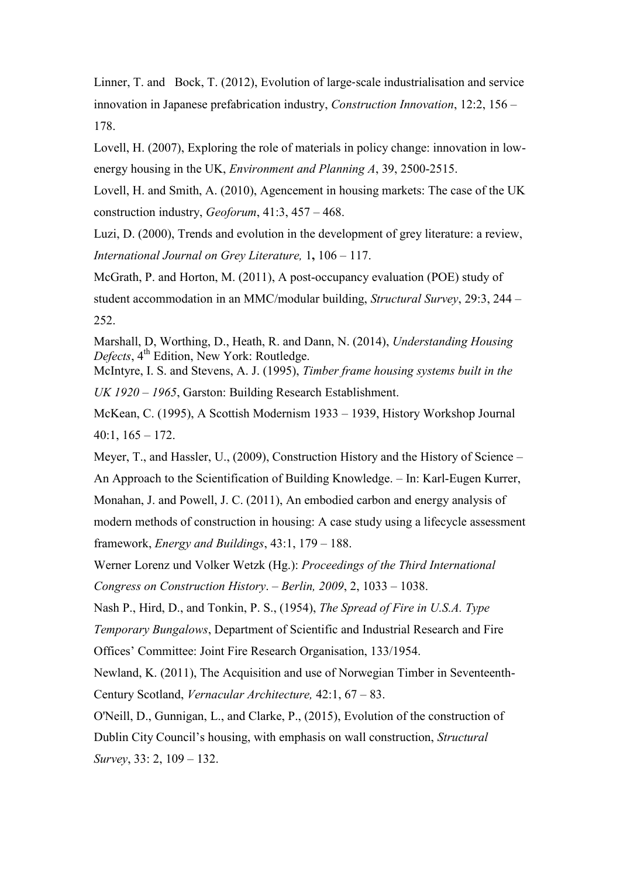Linner, T. and Bock, T. (2012), Evolution of large‐scale industrialisation and service innovation in Japanese prefabrication industry, *Construction Innovation*, 12:2, 156 – 178.

Lovell, H. (2007), Exploring the role of materials in policy change: innovation in lowenergy housing in the UK, *Environment and Planning A*, 39, 2500-2515.

Lovell, H. and Smith, A. (2010), Agencement in housing markets: The case of the UK construction industry, *Geoforum*, 41:3, 457 – 468.

Luzi, D. (2000), Trends and evolution in the development of grey literature: a review, *International Journal on Grey Literature,* 1**,** 106 – 117.

McGrath, P. and Horton, M. (2011), A post-occupancy evaluation (POE) study of student accommodation in an MMC/modular building, *Structural Survey*, 29:3, 244 – 252.

Marshall, D, Worthing, D., Heath, R. and Dann, N. (2014), *Understanding Housing*  Defects, 4<sup>th</sup> Edition, New York: Routledge.

McIntyre, I. S. and Stevens, A. J. (1995), *Timber frame housing systems built in the UK 1920 – 1965*, Garston: Building Research Establishment.

McKean, C. (1995), A Scottish Modernism 1933 – 1939, History Workshop Journal  $40:1, 165 - 172.$ 

Meyer, T., and Hassler, U., (2009), Construction History and the History of Science – An Approach to the Scientification of Building Knowledge. – In: Karl-Eugen Kurrer, Monahan, J. and Powell, J. C. (2011), An embodied carbon and energy analysis of modern methods of construction in housing: A case study using a lifecycle assessment framework, *Energy and Buildings*, 43:1, 179 – 188.

Werner Lorenz und Volker Wetzk (Hg.): *Proceedings of the Third International Congress on Construction History*. *– Berlin, 2009*, 2, 1033 – 1038.

Nash P., Hird, D., and Tonkin, P. S., (1954), *The Spread of Fire in U.S.A. Type* 

*Temporary Bungalows*, Department of Scientific and Industrial Research and Fire Offices' Committee: Joint Fire Research Organisation, 133/1954.

Newland, K. (2011), The Acquisition and use of Norwegian Timber in Seventeenth-Century Scotland, *Vernacular Architecture,* 42:1, 67 – 83.

O'Neill, D., Gunnigan, L., and Clarke, P., (2015), Evolution of the construction of Dublin City Council's housing, with emphasis on wall construction, *Structural Survey*, 33: 2, 109 – 132.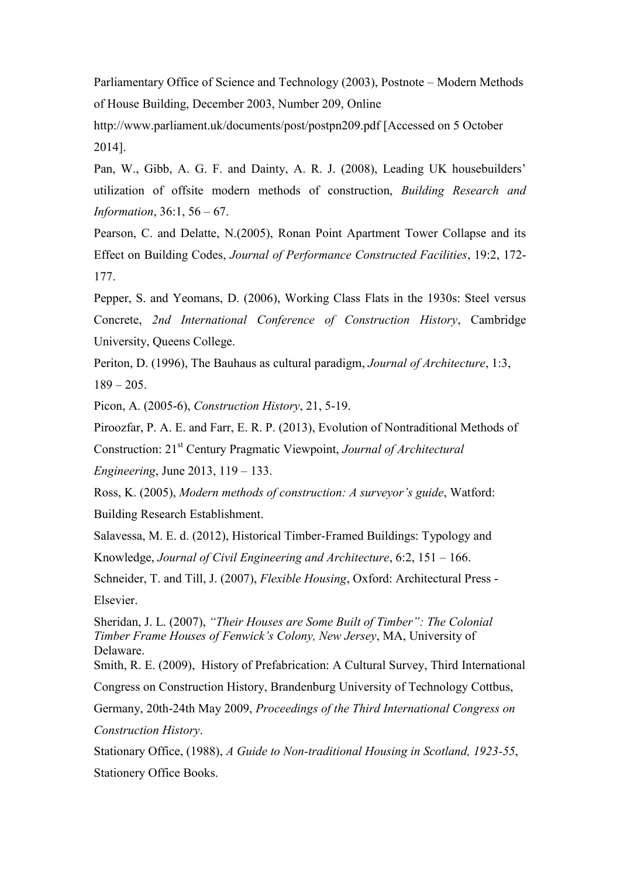Parliamentary Office of Science and Technology (2003), Postnote – Modern Methods of House Building, December 2003, Number 209, Online

http://www.parliament.uk/documents/post/postpn209.pdf [Accessed on 5 October 2014].

Pan, W., Gibb, A. G. F. and Dainty, A. R. J. (2008), Leading UK housebuilders' utilization of offsite modern methods of construction, *Building Research and Information*, 36:1, 56 – 67.

Pearson, C. and Delatte, N.(2005), Ronan Point Apartment Tower Collapse and its Effect on Building Codes, *Journal of Performance Constructed Facilities*, 19:2, 172- 177.

Pepper, S. and Yeomans, D. (2006), Working Class Flats in the 1930s: Steel versus Concrete, *2nd International Conference of Construction History*, Cambridge University, Queens College.

Periton, D. (1996), The Bauhaus as cultural paradigm, *Journal of Architecture*, 1:3,  $189 - 205$ .

Picon, A. (2005-6), *Construction History*, 21, 5-19.

Piroozfar, P. A. E. and Farr, E. R. P. (2013), Evolution of Nontraditional Methods of

Construction: 21st Century Pragmatic Viewpoint, *Journal of Architectural* 

*Engineering*, June 2013, 119 – 133.

Ross, K. (2005), *Modern methods of construction: A surveyor's guide*, Watford: Building Research Establishment.

Salavessa, M. E. d. (2012), Historical Timber-Framed Buildings: Typology and Knowledge, *Journal of Civil Engineering and Architecture*, 6:2, 151 – 166.

Schneider, T. and Till, J. (2007), *Flexible Housing*, Oxford: Architectural Press - **Elsevier** 

Sheridan, J. L. (2007), *"Their Houses are Some Built of Timber": The Colonial Timber Frame Houses of Fenwick's Colony, New Jersey*, MA, University of Delaware.

Smith, R. E. (2009), History of Prefabrication: A Cultural Survey, Third International Congress on Construction History, Brandenburg University of Technology Cottbus,

Germany, 20th-24th May 2009, *Proceedings of the Third International Congress on Construction History*.

Stationary Office, (1988), *A Guide to Non-traditional Housing in Scotland, 1923-55*, Stationery Office Books.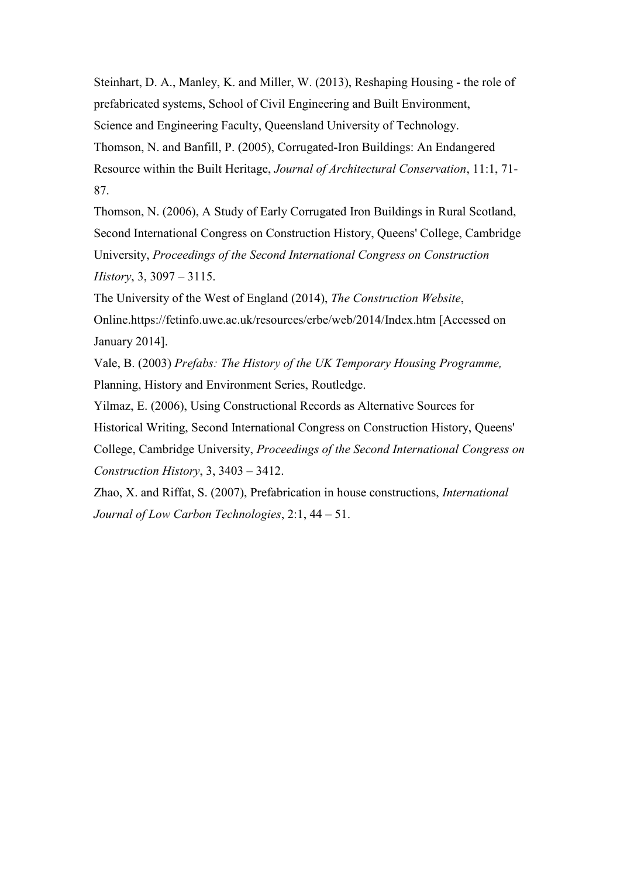Steinhart, D. A., Manley, K. and Miller, W. (2013), Reshaping Housing - the role of prefabricated systems, School of Civil Engineering and Built Environment, Science and Engineering Faculty, Queensland University of Technology. Thomson, N. and Banfill, P. (2005), Corrugated-Iron Buildings: An Endangered Resource within the Built Heritage, *Journal of Architectural Conservation*, 11:1, 71- 87.

Thomson, N. (2006), A Study of Early Corrugated Iron Buildings in Rural Scotland, Second International Congress on Construction History, Queens' College, Cambridge University, *Proceedings of the Second International Congress on Construction History*, 3, 3097 – 3115.

The University of the West of England (2014), *The Construction Website*, Online.https://fetinfo.uwe.ac.uk/resources/erbe/web/2014/Index.htm [Accessed on January 2014].

Vale, B. (2003) *Prefabs: The History of the UK Temporary Housing Programme,* Planning, History and Environment Series, Routledge.

Yilmaz, E. (2006), Using Constructional Records as Alternative Sources for Historical Writing, Second International Congress on Construction History, Queens' College, Cambridge University, *Proceedings of the Second International Congress on Construction History*, 3, 3403 – 3412.

Zhao, X. and Riffat, S. (2007), Prefabrication in house constructions, *International Journal of Low Carbon Technologies*, 2:1, 44 – 51.